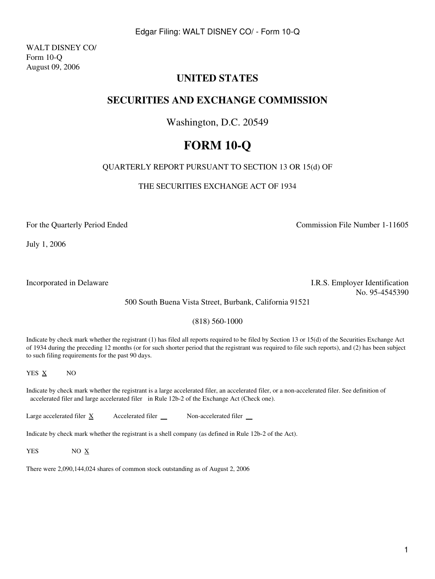WALT DISNEY CO/ Form 10-Q August 09, 2006

# **UNITED STATES**

# **SECURITIES AND EXCHANGE COMMISSION**

# Washington, D.C. 20549

# **FORM 10-Q**

# QUARTERLY REPORT PURSUANT TO SECTION 13 OR 15(d) OF

THE SECURITIES EXCHANGE ACT OF 1934

For the Quarterly Period Ended

July 1, 2006

Commission File Number 1-11605

Incorporated in Delaware I.R.S. Employer Identification No. 95-4545390

500 South Buena Vista Street, Burbank, California 91521

(818) 560-1000

Indicate by check mark whether the registrant (1) has filed all reports required to be filed by Section 13 or 15(d) of the Securities Exchange Act of 1934 during the preceding 12 months (or for such shorter period that the registrant was required to file such reports), and (2) has been subject to such filing requirements for the past 90 days.

YES  $\underline{X}$  NO

Indicate by check mark whether the registrant is a large accelerated filer, an accelerated filer, or a non-accelerated filer. See definition of accelerated filer and large accelerated filer in Rule 12b-2 of the Exchange Act (Check one).

Large accelerated filer  $\underline{X}$  Accelerated filer  $\underline{N}$  Non-accelerated filer

Indicate by check mark whether the registrant is a shell company (as defined in Rule 12b-2 of the Act).

YES NO X

There were 2,090,144,024 shares of common stock outstanding as of August 2, 2006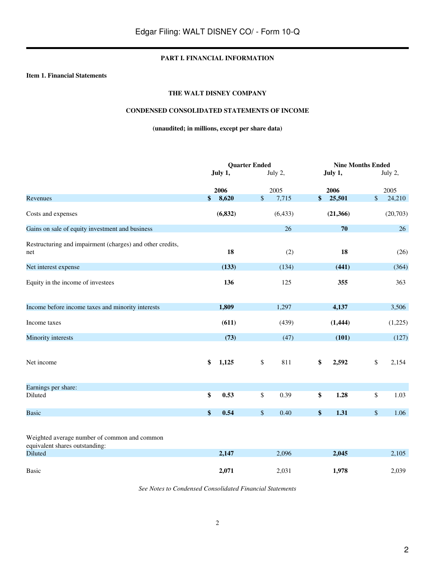# **PART I. FINANCIAL INFORMATION**

#### **Item 1. Financial Statements**

# **THE WALT DISNEY COMPANY**

# **CONDENSED CONSOLIDATED STATEMENTS OF INCOME**

# **(unaudited; in millions, except per share data)**

|                                                                                                  |             | <b>Quarter Ended</b> |          | <b>Nine Months Ended</b> |           |              |          |
|--------------------------------------------------------------------------------------------------|-------------|----------------------|----------|--------------------------|-----------|--------------|----------|
|                                                                                                  | July 1,     |                      | July 2,  |                          | July 1,   |              | July 2,  |
|                                                                                                  | 2006        |                      | 2005     |                          | 2006      |              | 2005     |
| Revenues                                                                                         | \$<br>8,620 | \$                   | 7,715    | \$                       | 25,501    | \$           | 24,210   |
| Costs and expenses                                                                               | (6, 832)    |                      | (6, 433) |                          | (21, 366) |              | (20,703) |
| Gains on sale of equity investment and business                                                  |             |                      | 26       |                          | 70        |              | 26       |
| Restructuring and impairment (charges) and other credits,<br>net                                 | 18          |                      | (2)      |                          | 18        |              | (26)     |
| Net interest expense                                                                             | (133)       |                      | (134)    |                          | (441)     |              | (364)    |
| Equity in the income of investees                                                                | 136         |                      | 125      |                          | 355       |              | 363      |
| Income before income taxes and minority interests                                                | 1,809       |                      | 1,297    |                          | 4,137     |              | 3,506    |
| Income taxes                                                                                     | (611)       |                      | (439)    |                          | (1, 444)  |              | (1,225)  |
| Minority interests                                                                               | (73)        |                      | (47)     |                          | (101)     |              | (127)    |
| Net income                                                                                       | \$<br>1,125 | \$                   | 811      | \$                       | 2,592     | $\mathbb{S}$ | 2,154    |
| Earnings per share:                                                                              |             |                      |          |                          |           |              |          |
| Diluted                                                                                          | \$<br>0.53  | \$                   | 0.39     | \$                       | 1.28      | $\mathbb{S}$ | 1.03     |
| <b>Basic</b>                                                                                     | \$<br>0.54  | $\$$                 | 0.40     | \$                       | 1.31      | $\mathbb{S}$ | 1.06     |
| Weighted average number of common and common<br>equivalent shares outstanding:<br><b>Diluted</b> | 2,147       |                      | 2,096    |                          | 2,045     |              | 2,105    |
| <b>Basic</b>                                                                                     | 2,071       |                      | 2,031    |                          | 1,978     |              | 2,039    |

*See Notes to Condensed Consolidated Financial Statements*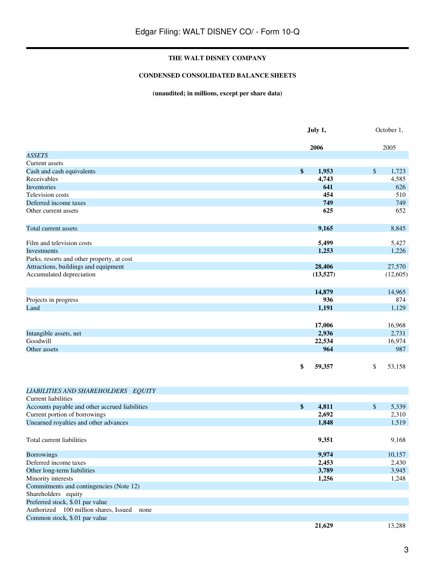# **CONDENSED CONSOLIDATED BALANCE SHEETS**

# **(unaudited; in millions, except per share data)**

|                                                | July 1,           |          |      | October 1, |  |
|------------------------------------------------|-------------------|----------|------|------------|--|
|                                                |                   | 2006     |      | 2005       |  |
| <b>ASSETS</b>                                  |                   |          |      |            |  |
| Current assets                                 |                   |          |      |            |  |
| Cash and cash equivalents                      | $\boldsymbol{\$}$ | 1,953    | $\$$ | 1,723      |  |
| Receivables                                    |                   | 4,743    |      | 4,585      |  |
| Inventories                                    |                   | 641      |      | 626        |  |
| Television costs                               |                   | 454      |      | 510        |  |
| Deferred income taxes                          |                   | 749      |      | 749        |  |
| Other current assets                           |                   | 625      |      | 652        |  |
| Total current assets                           |                   | 9,165    |      | 8,845      |  |
| Film and television costs                      |                   | 5,499    |      | 5,427      |  |
| Investments                                    |                   | 1,253    |      | 1,226      |  |
| Parks, resorts and other property, at cost     |                   |          |      |            |  |
| Attractions, buildings and equipment           |                   | 28,406   |      | 27,570     |  |
| Accumulated depreciation                       |                   | (13,527) |      | (12,605)   |  |
|                                                |                   | 14,879   |      | 14,965     |  |
| Projects in progress                           |                   | 936      |      | 874        |  |
| Land                                           |                   | 1,191    |      | 1,129      |  |
|                                                |                   |          |      |            |  |
|                                                |                   | 17,006   |      | 16,968     |  |
| Intangible assets, net                         |                   | 2,936    |      | 2,731      |  |
| Goodwill                                       |                   | 22,534   |      | 16,974     |  |
| Other assets                                   |                   | 964      |      | 987        |  |
|                                                | \$                | 59,357   | \$   | 53,158     |  |
| LIABILITIES AND SHAREHOLDERS EQUITY            |                   |          |      |            |  |
| <b>Current liabilities</b>                     |                   |          |      |            |  |
| Accounts payable and other accrued liabilities | \$                | 4,811    | \$   | 5,339      |  |
| Current portion of borrowings                  |                   | 2,692    |      | 2,310      |  |
| Unearned royalties and other advances          |                   | 1,848    |      | 1,519      |  |
| Total current liabilities                      |                   | 9,351    |      | 9,168      |  |
| <b>Borrowings</b>                              |                   | 9,974    |      | 10,157     |  |
| Deferred income taxes                          |                   | 2,453    |      | 2,430      |  |
| Other long-term liabilities                    |                   | 3,789    |      | 3,945      |  |
| Minority interests                             |                   | 1,256    |      | 1,248      |  |
| Commitments and contingencies (Note 12)        |                   |          |      |            |  |
| Shareholders equity                            |                   |          |      |            |  |
| Preferred stock, \$.01 par value               |                   |          |      |            |  |
| Authorized 100 million shares, Issued<br>none  |                   |          |      |            |  |
| Common stock, \$.01 par value                  |                   |          |      |            |  |
|                                                |                   | 21,629   |      | 13,288     |  |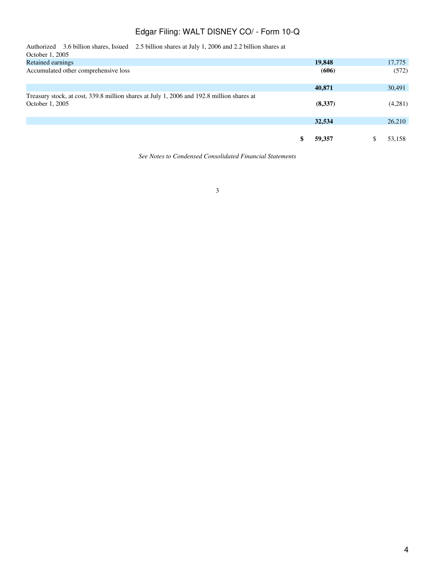| Authorized 3.6 billion shares, Issued 2.5 billion shares at July 1, 2006 and 2.2 billion shares at<br>October 1, 2005 |         |         |
|-----------------------------------------------------------------------------------------------------------------------|---------|---------|
| Retained earnings                                                                                                     | 19,848  | 17,775  |
| Accumulated other comprehensive loss                                                                                  | (606)   | (572)   |
|                                                                                                                       | 40,871  | 30,491  |
| Treasury stock, at cost, 339.8 million shares at July 1, 2006 and 192.8 million shares at<br>October 1, 2005          | (8,337) | (4,281) |
|                                                                                                                       | 32,534  | 26,210  |
|                                                                                                                       | 59,357  | 53,158  |

*See Notes to Condensed Consolidated Financial Statements*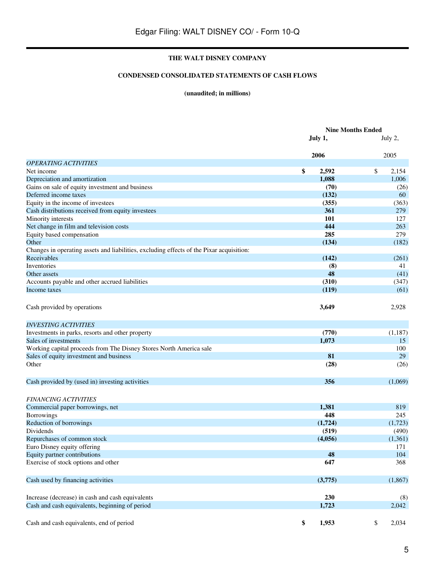# **CONDENSED CONSOLIDATED STATEMENTS OF CASH FLOWS**

# **(unaudited; in millions)**

|                                                                                          | <b>Nine Months Ended</b> |             |
|------------------------------------------------------------------------------------------|--------------------------|-------------|
|                                                                                          | July 1,                  | July 2,     |
|                                                                                          | 2006                     | 2005        |
| <b>OPERATING ACTIVITIES</b>                                                              |                          |             |
| Net income                                                                               | \$<br>2,592              | \$<br>2,154 |
| Depreciation and amortization                                                            | 1,088                    | 1,006       |
| Gains on sale of equity investment and business                                          | (70)                     | (26)        |
| Deferred income taxes                                                                    | (132)                    | 60          |
| Equity in the income of investees                                                        | (355)                    | (363)       |
| Cash distributions received from equity investees                                        | 361                      | 279         |
| Minority interests                                                                       | 101                      | 127         |
| Net change in film and television costs                                                  | 444                      | 263         |
| Equity based compensation                                                                | 285                      | 279         |
| Other                                                                                    | (134)                    | (182)       |
| Changes in operating assets and liabilities, excluding effects of the Pixar acquisition: |                          |             |
| Receivables                                                                              | (142)                    | (261)       |
| Inventories                                                                              | (8)                      | 41          |
| Other assets                                                                             | 48                       | (41)        |
| Accounts payable and other accrued liabilities                                           | (310)                    | (347)       |
| Income taxes                                                                             | (119)                    | (61)        |
| Cash provided by operations                                                              | 3,649                    | 2,928       |
| <b>INVESTING ACTIVITIES</b>                                                              |                          |             |
| Investments in parks, resorts and other property                                         | (770)                    | (1,187)     |
| Sales of investments                                                                     | 1,073                    | 15          |
| Working capital proceeds from The Disney Stores North America sale                       |                          | 100         |
| Sales of equity investment and business                                                  | 81                       | 29          |
| Other                                                                                    | (28)                     | (26)        |
| Cash provided by (used in) investing activities                                          | 356                      | (1,069)     |
|                                                                                          |                          |             |
| <b>FINANCING ACTIVITIES</b>                                                              |                          |             |
| Commercial paper borrowings, net                                                         | 1,381                    | 819         |
| Borrowings                                                                               | 448                      | 245         |
| Reduction of borrowings                                                                  | (1,724)                  | (1,723)     |
| Dividends                                                                                | (519)                    | (490)       |
| Repurchases of common stock                                                              | (4,056)                  | (1,361)     |
| Euro Disney equity offering                                                              |                          | 171         |
| Equity partner contributions                                                             | 48                       | 104         |
| Exercise of stock options and other                                                      | 647                      | 368         |
| Cash used by financing activities                                                        | (3,775)                  | (1, 867)    |
| Increase (decrease) in cash and cash equivalents                                         | 230                      | (8)         |
| Cash and cash equivalents, beginning of period                                           | 1,723                    | 2,042       |
| Cash and cash equivalents, end of period                                                 | \$<br>1,953              | \$<br>2,034 |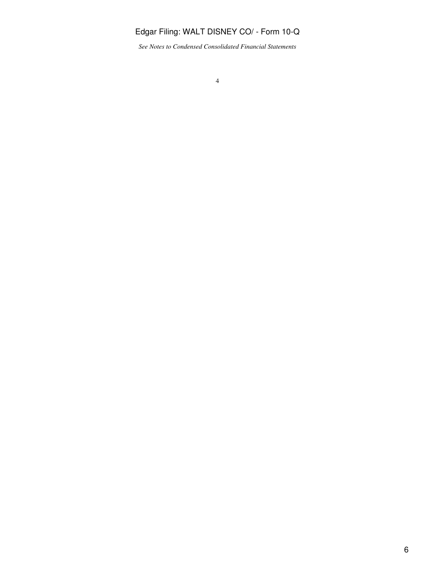*See Notes to Condensed Consolidated Financial Statements*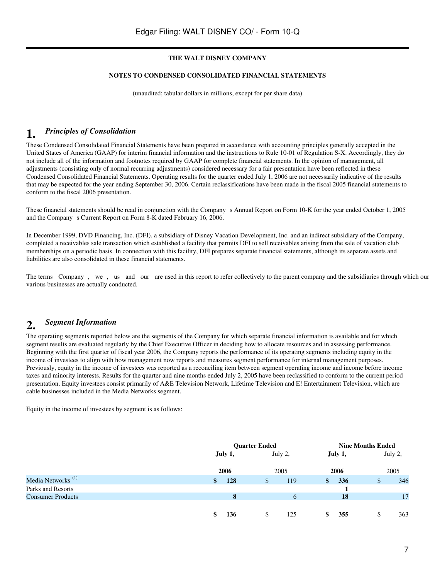# **NOTES TO CONDENSED CONSOLIDATED FINANCIAL STATEMENTS**

(unaudited; tabular dollars in millions, except for per share data)

# **1.** *Principles of Consolidation*

These Condensed Consolidated Financial Statements have been prepared in accordance with accounting principles generally accepted in the United States of America (GAAP) for interim financial information and the instructions to Rule 10-01 of Regulation S-X. Accordingly, they do not include all of the information and footnotes required by GAAP for complete financial statements. In the opinion of management, all adjustments (consisting only of normal recurring adjustments) considered necessary for a fair presentation have been reflected in these Condensed Consolidated Financial Statements. Operating results for the quarter ended July 1, 2006 are not necessarily indicative of the results that may be expected for the year ending September 30, 2006. Certain reclassifications have been made in the fiscal 2005 financial statements to conform to the fiscal 2006 presentation.

These financial statements should be read in conjunction with the Companys Annual Report on Form 10-K for the year ended October 1, 2005 and the Company s Current Report on Form 8-K dated February 16, 2006.

In December 1999, DVD Financing, Inc. (DFI), a subsidiary of Disney Vacation Development, Inc. and an indirect subsidiary of the Company, completed a receivables sale transaction which established a facility that permits DFI to sell receivables arising from the sale of vacation club memberships on a periodic basis. In connection with this facility, DFI prepares separate financial statements, although its separate assets and liabilities are also consolidated in these financial statements.

The terms Company, we, us and our are used in this report to refer collectively to the parent company and the subsidiaries through which our various businesses are actually conducted.

# **2.** *Segment Information*

The operating segments reported below are the segments of the Company for which separate financial information is available and for which segment results are evaluated regularly by the Chief Executive Officer in deciding how to allocate resources and in assessing performance. Beginning with the first quarter of fiscal year 2006, the Company reports the performance of its operating segments including equity in the income of investees to align with how management now reports and measures segment performance for internal management purposes. Previously, equity in the income of investees was reported as a reconciling item between segment operating income and income before income taxes and minority interests. Results for the quarter and nine months ended July 2, 2005 have been reclassified to conform to the current period presentation. Equity investees consist primarily of A&E Television Network, Lifetime Television and E! Entertainment Television, which are cable businesses included in the Media Networks segment.

Equity in the income of investees by segment is as follows:

|                               |    |                 | <b>Quarter Ended</b> | <b>Nine Months Ended</b> |              |                 |     |                 |  |
|-------------------------------|----|-----------------|----------------------|--------------------------|--------------|-----------------|-----|-----------------|--|
|                               |    | July 1,<br>2006 |                      | July 2,<br>2005          |              | July 1,<br>2006 |     | July 2,<br>2005 |  |
|                               |    |                 |                      |                          |              |                 |     |                 |  |
| Media Networks <sup>(1)</sup> | \$ | 128             | S                    | 119                      | <sup>S</sup> | 336             | \$. | 346             |  |
| Parks and Resorts             |    |                 |                      |                          |              |                 |     |                 |  |
| <b>Consumer Products</b>      |    | $\mathbf{8}$    |                      | 6                        |              | 18              |     | 17              |  |
|                               |    |                 |                      |                          |              |                 |     |                 |  |
|                               |    | 136             | \$.                  | 125                      | SS.          | 355             | S   | 363             |  |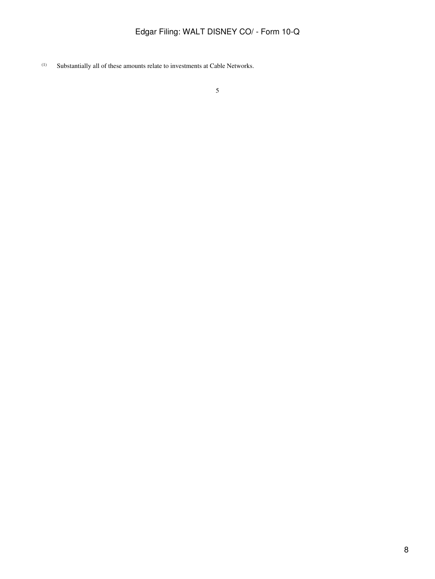(1) Substantially all of these amounts relate to investments at Cable Networks.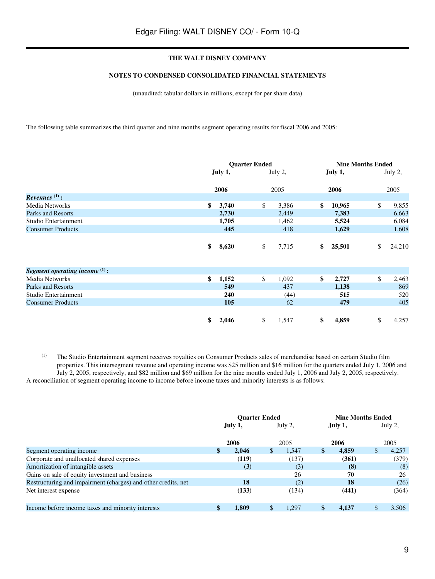# **NOTES TO CONDENSED CONSOLIDATED FINANCIAL STATEMENTS**

(unaudited; tabular dollars in millions, except for per share data)

The following table summarizes the third quarter and nine months segment operating results for fiscal 2006 and 2005:

|                                  | <b>Quarter Ended</b> |    |         |    |         | <b>Nine Months Ended</b> |         |  |  |
|----------------------------------|----------------------|----|---------|----|---------|--------------------------|---------|--|--|
|                                  | July 1,              |    | July 2, |    | July 1, |                          | July 2, |  |  |
|                                  | 2006                 |    | 2005    |    | 2006    |                          | 2005    |  |  |
| Revenues $(1)$ :                 |                      |    |         |    |         |                          |         |  |  |
| Media Networks                   | \$<br>3,740          | \$ | 3,386   | \$ | 10,965  | \$                       | 9,855   |  |  |
| Parks and Resorts                | 2,730                |    | 2,449   |    | 7,383   |                          | 6,663   |  |  |
| Studio Entertainment             | 1,705                |    | 1,462   |    | 5,524   |                          | 6,084   |  |  |
| <b>Consumer Products</b>         | 445                  |    | 418     |    | 1,629   |                          | 1,608   |  |  |
|                                  | \$<br>8,620          | \$ | 7,715   | \$ | 25,501  | \$                       | 24,210  |  |  |
| Segment operating income $(1)$ : |                      |    |         |    |         |                          |         |  |  |
| Media Networks                   | \$<br>1,152          | \$ | 1,092   | \$ | 2,727   | \$                       | 2,463   |  |  |
| Parks and Resorts                | 549                  |    | 437     |    | 1,138   |                          | 869     |  |  |
| Studio Entertainment             | 240                  |    | (44)    |    | 515     |                          | 520     |  |  |
| <b>Consumer Products</b>         | 105                  |    | 62      |    | 479     |                          | 405     |  |  |
|                                  | \$<br>2,046          | \$ | 1,547   | \$ | 4,859   | \$                       | 4,257   |  |  |

(1) The Studio Entertainment segment receives royalties on Consumer Products sales of merchandise based on certain Studio film properties. This intersegment revenue and operating income was \$25 million and \$16 million for the quarters ended July 1, 2006 and July 2, 2005, respectively, and \$82 million and \$69 million for the nine months ended July 1, 2006 and July 2, 2005, respectively. A reconciliation of segment operating income to income before income taxes and minority interests is as follows:

|                                                               | <b>Ouarter Ended</b> |       |         |       |         | <b>Nine Months Ended</b> |         |       |  |  |
|---------------------------------------------------------------|----------------------|-------|---------|-------|---------|--------------------------|---------|-------|--|--|
|                                                               | July 1,              |       | July 2, |       | July 1, |                          | July 2, |       |  |  |
|                                                               |                      | 2006  |         | 2005  |         | 2006                     |         | 2005  |  |  |
| Segment operating income                                      | \$                   | 2.046 | \$      | 1.547 | \$      | 4.859                    | \$      | 4,257 |  |  |
| Corporate and unallocated shared expenses                     |                      | (119) |         | (137) |         | (361)                    |         | (379) |  |  |
| Amortization of intangible assets                             |                      | (3)   |         | (3)   |         | (8)                      |         | (8)   |  |  |
| Gains on sale of equity investment and business               |                      |       |         | 26    |         | 70                       |         | 26    |  |  |
| Restructuring and impairment (charges) and other credits, net |                      | 18    |         | (2)   |         | 18                       |         | (26)  |  |  |
| Net interest expense                                          |                      | (133) |         | (134) |         | (441)                    |         | (364) |  |  |
| Income before income taxes and minority interests             | \$                   | 1.809 | \$      | 1.297 | \$      | 4.137                    | \$      | 3.506 |  |  |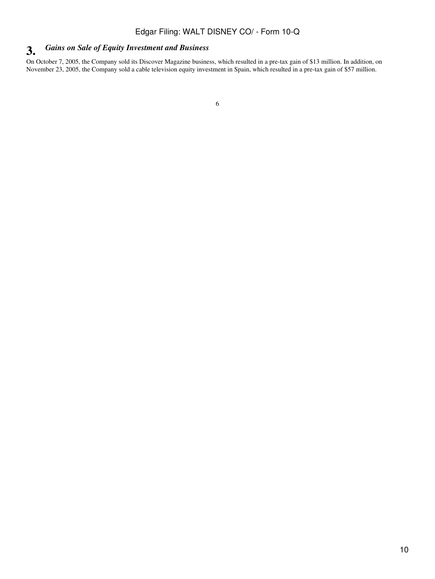# **3.** *Gains on Sale of Equity Investment and Business*

On October 7, 2005, the Company sold its Discover Magazine business, which resulted in a pre-tax gain of \$13 million. In addition, on November 23, 2005, the Company sold a cable television equity investment in Spain, which resulted in a pre-tax gain of \$57 million.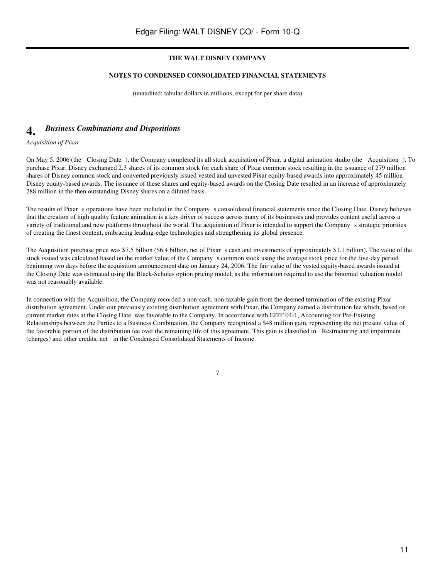#### **NOTES TO CONDENSED CONSOLIDATED FINANCIAL STATEMENTS**

(unaudited; tabular dollars in millions, except for per share data)

# **4.** *Business Combinations and Dispositions*

*Acquisition of Pixar*

On May 5, 2006 (the Closing Date), the Company completed its all stock acquisition of Pixar, a digital animation studio (the Acquisition). To purchase Pixar, Disney exchanged 2.3 shares of its common stock for each share of Pixar common stock resulting in the issuance of 279 million shares of Disney common stock and converted previously issued vested and unvested Pixar equity-based awards into approximately 45 million Disney equity-based awards. The issuance of these shares and equity-based awards on the Closing Date resulted in an increase of approximately 288 million in the then outstanding Disney shares on a diluted basis.

The results of Pixar s operations have been included in the Company s consolidated financial statements since the Closing Date. Disney believes that the creation of high quality feature animation is a key driver of success across many of its businesses and provides content useful across a variety of traditional and new platforms throughout the world. The acquisition of Pixar is intended to support the Companys strategic priorities of creating the finest content, embracing leading-edge technologies and strengthening its global presence.

The Acquisition purchase price was \$7.5 billion (\$6.4 billion, net of Pixar s cash and investments of approximately \$1.1 billion). The value of the stock issued was calculated based on the market value of the Companys common stock using the average stock price for the five-day period beginning two days before the acquisition announcement date on January 24, 2006. The fair value of the vested equity-based awards issued at the Closing Date was estimated using the Black-Scholes option pricing model, as the information required to use the binomial valuation model was not reasonably available.

In connection with the Acquisition, the Company recorded a non-cash, non-taxable gain from the deemed termination of the existing Pixar distribution agreement. Under our previously existing distribution agreement with Pixar, the Company earned a distribution fee which, based on current market rates at the Closing Date, was favorable to the Company. In accordance with EITF 04-1, Accounting for Pre-Existing Relationships between the Parties to a Business Combination, the Company recognized a \$48 million gain, representing the net present value of the favorable portion of the distribution fee over the remaining life of this agreement. This gain is classified in Restructuring and impairment (charges) and other credits, net in the Condensed Consolidated Statements of Income.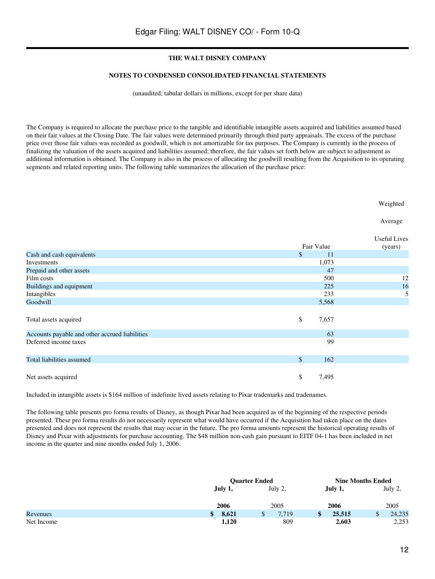#### **NOTES TO CONDENSED CONSOLIDATED FINANCIAL STATEMENTS**

(unaudited; tabular dollars in millions, except for per share data)

The Company is required to allocate the purchase price to the tangible and identifiable intangible assets acquired and liabilities assumed based on their fair values at the Closing Date. The fair values were determined primarily through third party appraisals. The excess of the purchase price over those fair values was recorded as goodwill, which is not amortizable for tax purposes. The Company is currently in the process of finalizing the valuation of the assets acquired and liabilities assumed; therefore, the fair values set forth below are subject to adjustment as additional information is obtained. The Company is also in the process of allocating the goodwill resulting from the Acquisition to its operating segments and related reporting units. The following table summarizes the allocation of the purchase price:

Weighted

Average

|                                                |             | <b>Useful Lives</b> |
|------------------------------------------------|-------------|---------------------|
|                                                | Fair Value  | (years)             |
| Cash and cash equivalents                      | \$<br>11    |                     |
| Investments                                    | 1,073       |                     |
| Prepaid and other assets                       | 47          |                     |
| Film costs                                     | 500         | 12                  |
| Buildings and equipment                        | 225         | 16                  |
| Intangibles                                    | 233         | 5                   |
| Goodwill                                       | 5,568       |                     |
| Total assets acquired                          | \$<br>7,657 |                     |
| Accounts payable and other accrued liabilities | 63          |                     |
| Deferred income taxes                          | 99          |                     |
| Total liabilities assumed                      | \$<br>162   |                     |
| Net assets acquired                            | \$<br>7,495 |                     |

Included in intangible assets is \$164 million of indefinite lived assets relating to Pixar trademarks and tradenames.

The following table presents pro forma results of Disney, as though Pixar had been acquired as of the beginning of the respective periods presented. These pro forma results do not necessarily represent what would have occurred if the Acquisition had taken place on the dates presented and does not represent the results that may occur in the future. The pro forma amounts represent the historical operating results of Disney and Pixar with adjustments for purchase accounting. The \$48 million non-cash gain pursuant to EITF 04-1 has been included in net income in the quarter and nine months ended July 1, 2006.

|            |             | <b>Ouarter Ended</b> |         | <b>Nine Months Ended</b> |  |  |  |
|------------|-------------|----------------------|---------|--------------------------|--|--|--|
|            | July 1,     | July 2,              | July 1, | July 2,                  |  |  |  |
|            | 2006        |                      | 2006    | 2005                     |  |  |  |
| Revenues   | 8,621<br>\$ | 7,719<br>Ф           | 25,515  | 24,235<br>ω              |  |  |  |
| Net Income | 1,120       | 809                  | 2,603   | 2,253                    |  |  |  |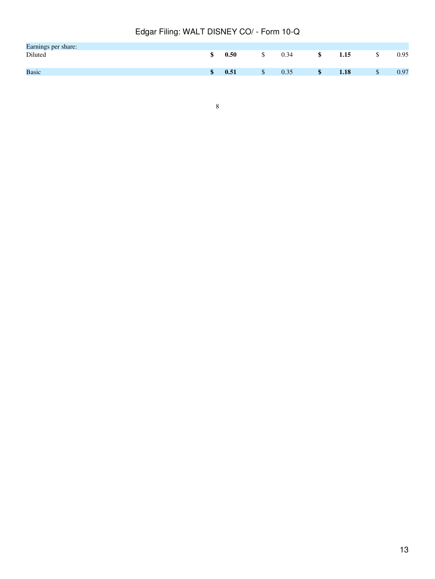| Earnings per share: |            |      |      |      |
|---------------------|------------|------|------|------|
| Diluted             | 0.50       | 0.34 | 1.15 | 0.95 |
|                     |            |      |      |      |
| <b>Basic</b>        | \$<br>0.51 | 0.35 | 1.18 | 0.97 |
|                     |            |      |      |      |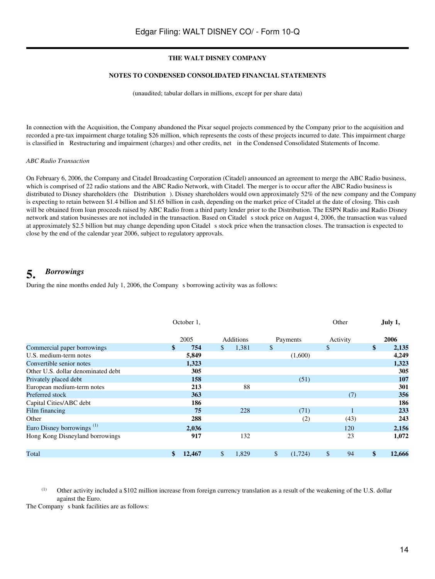#### **NOTES TO CONDENSED CONSOLIDATED FINANCIAL STATEMENTS**

(unaudited; tabular dollars in millions, except for per share data)

In connection with the Acquisition, the Company abandoned the Pixar sequel projects commenced by the Company prior to the acquisition and recorded a pre-tax impairment charge totaling \$26 million, which represents the costs of these projects incurred to date. This impairment charge is classified in Restructuring and impairment (charges) and other credits, net in the Condensed Consolidated Statements of Income.

## *ABC Radio Transaction*

On February 6, 2006, the Company and Citadel Broadcasting Corporation (Citadel) announced an agreement to merge the ABC Radio business, which is comprised of 22 radio stations and the ABC Radio Network, with Citadel. The merger is to occur after the ABC Radio business is distributed to Disney shareholders (the Distribution). Disney shareholders would own approximately 52% of the new company and the Company is expecting to retain between \$1.4 billion and \$1.65 billion in cash, depending on the market price of Citadel at the date of closing. This cash will be obtained from loan proceeds raised by ABC Radio from a third party lender prior to the Distribution. The ESPN Radio and Radio Disney network and station businesses are not included in the transaction. Based on Citadel s stock price on August 4, 2006, the transaction was valued at approximately \$2.5 billion but may change depending upon Citadels stock price when the transaction closes. The transaction is expected to close by the end of the calendar year 2006, subject to regulatory approvals.

# **5.** *Borrowings*

During the nine months ended July 1, 2006, the Company s borrowing activity was as follows:

|                                       | October 1, |        |              |           | Other                   |              | July 1,  |               |        |
|---------------------------------------|------------|--------|--------------|-----------|-------------------------|--------------|----------|---------------|--------|
|                                       |            | 2005   |              | Additions | Payments                |              | Activity |               | 2006   |
| Commercial paper borrowings           | \$         | 754    | $\mathbb{S}$ | 1,381     | \$                      | $\mathbb{S}$ |          | $\mathbf{\$}$ | 2,135  |
| U.S. medium-term notes                |            | 5,849  |              |           | (1,600)                 |              |          |               | 4,249  |
| Convertible senior notes              |            | 1,323  |              |           |                         |              |          |               | 1,323  |
| Other U.S. dollar denominated debt    |            | 305    |              |           |                         |              |          |               | 305    |
| Privately placed debt                 |            | 158    |              |           | (51)                    |              |          |               | 107    |
| European medium-term notes            |            | 213    |              | 88        |                         |              |          |               | 301    |
| Preferred stock                       |            | 363    |              |           |                         |              | (7)      |               | 356    |
| Capital Cities/ABC debt               |            | 186    |              |           |                         |              |          |               | 186    |
| Film financing                        |            | 75     |              | 228       | (71)                    |              |          |               | 233    |
| Other                                 |            | 288    |              |           | (2)                     |              | (43)     |               | 243    |
| Euro Disney borrowings <sup>(1)</sup> |            | 2,036  |              |           |                         |              | 120      |               | 2,156  |
| Hong Kong Disneyland borrowings       |            | 917    |              | 132       |                         |              | 23       |               | 1,072  |
| Total                                 | \$         | 12,467 | \$           | 1.829     | $\mathbb{S}$<br>(1.724) | \$           | 94       | $\mathbf{\$}$ | 12,666 |

(1) Other activity included a \$102 million increase from foreign currency translation as a result of the weakening of the U.S. dollar against the Euro.

The Company s bank facilities are as follows: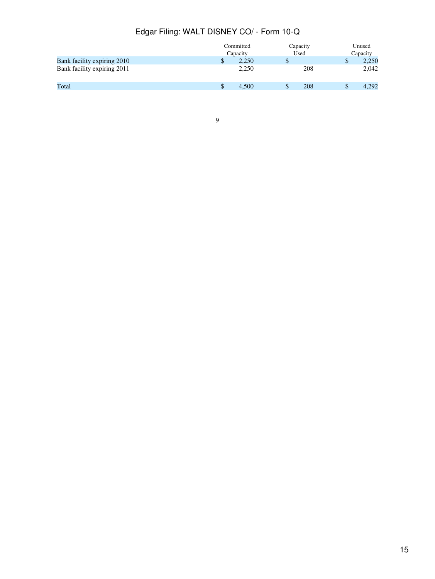|                             | Committed<br>Capacity |       |   | Capacity | Unused<br>Capacity |       |
|-----------------------------|-----------------------|-------|---|----------|--------------------|-------|
|                             |                       |       |   | Used     |                    |       |
| Bank facility expiring 2010 | \$                    | 2.250 | D |          | ۰D                 | 2,250 |
| Bank facility expiring 2011 |                       | 2.250 |   | 208      |                    | 2,042 |
| Total                       | S                     | 4.500 |   | 208      |                    | 4,292 |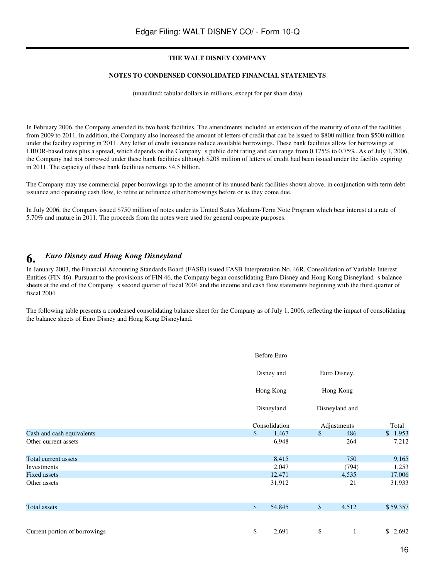#### **NOTES TO CONDENSED CONSOLIDATED FINANCIAL STATEMENTS**

(unaudited; tabular dollars in millions, except for per share data)

In February 2006, the Company amended its two bank facilities. The amendments included an extension of the maturity of one of the facilities from 2009 to 2011. In addition, the Company also increased the amount of letters of credit that can be issued to \$800 million from \$500 million under the facility expiring in 2011. Any letter of credit issuances reduce available borrowings. These bank facilities allow for borrowings at LIBOR-based rates plus a spread, which depends on the Company s public debt rating and can range from 0.175% to 0.75%. As of July 1, 2006, the Company had not borrowed under these bank facilities although \$208 million of letters of credit had been issued under the facility expiring in 2011. The capacity of these bank facilities remains \$4.5 billion.

The Company may use commercial paper borrowings up to the amount of its unused bank facilities shown above, in conjunction with term debt issuance and operating cash flow, to retire or refinance other borrowings before or as they come due.

In July 2006, the Company issued \$750 million of notes under its United States Medium-Term Note Program which bear interest at a rate of 5.70% and mature in 2011. The proceeds from the notes were used for general corporate purposes.

# **6.** *Euro Disney and Hong Kong Disneyland*

In January 2003, the Financial Accounting Standards Board (FASB) issued FASB Interpretation No. 46R, Consolidation of Variable Interest Entities (FIN 46). Pursuant to the provisions of FIN 46, the Company began consolidating Euro Disney and Hong Kong Disneylands balance sheets at the end of the Company s second quarter of fiscal 2004 and the income and cash flow statements beginning with the third quarter of fiscal 2004.

The following table presents a condensed consolidating balance sheet for the Company as of July 1, 2006, reflecting the impact of consolidating the balance sheets of Euro Disney and Hong Kong Disneyland.

|                               | <b>Before Euro</b> |              |                |          |  |  |
|-------------------------------|--------------------|--------------|----------------|----------|--|--|
|                               | Disney and         |              | Euro Disney,   |          |  |  |
|                               | Hong Kong          |              | Hong Kong      |          |  |  |
|                               | Disneyland         |              | Disneyland and |          |  |  |
|                               | Consolidation      | Adjustments  | Total          |          |  |  |
| Cash and cash equivalents     | \$<br>1,467        | $\$$         | 486            | \$1,953  |  |  |
| Other current assets          | 6,948              |              | 264            | 7,212    |  |  |
| Total current assets          | 8,415              |              | 750            | 9,165    |  |  |
| Investments                   | 2,047              |              | (794)          | 1,253    |  |  |
| <b>Fixed assets</b>           | 12,471             |              | 4,535          | 17,006   |  |  |
| Other assets                  | 31,912             |              | 21             | 31,933   |  |  |
| <b>Total assets</b>           | \$<br>54,845       | $\mathbb{S}$ | 4,512          | \$59,357 |  |  |
|                               |                    |              |                |          |  |  |
| Current portion of borrowings | \$<br>2,691        | \$           | 1              | \$2,692  |  |  |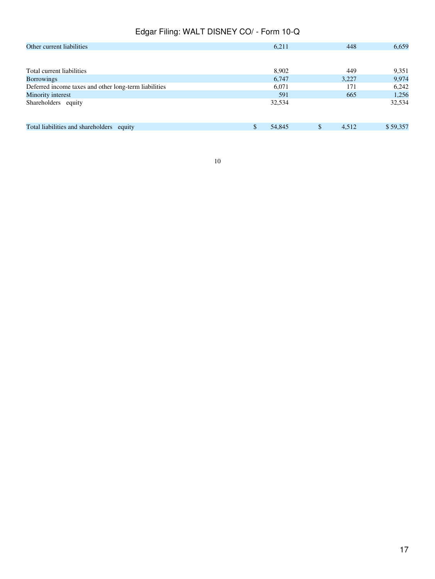| Other current liabilities                             | 6,211        | 448                    | 6,659    |
|-------------------------------------------------------|--------------|------------------------|----------|
|                                                       |              |                        |          |
| Total current liabilities                             | 8.902        | 449                    | 9,351    |
| <b>Borrowings</b>                                     | 6,747        | 3,227                  | 9,974    |
| Deferred income taxes and other long-term liabilities | 6,071        | 171                    | 6,242    |
| Minority interest                                     | 591          | 665                    | 1,256    |
| Shareholders equity                                   | 32,534       |                        | 32,534   |
|                                                       |              |                        |          |
|                                                       |              |                        |          |
| Total liabilities and shareholders equity             | \$<br>54,845 | <sup>\$</sup><br>4,512 | \$59,357 |
|                                                       |              |                        |          |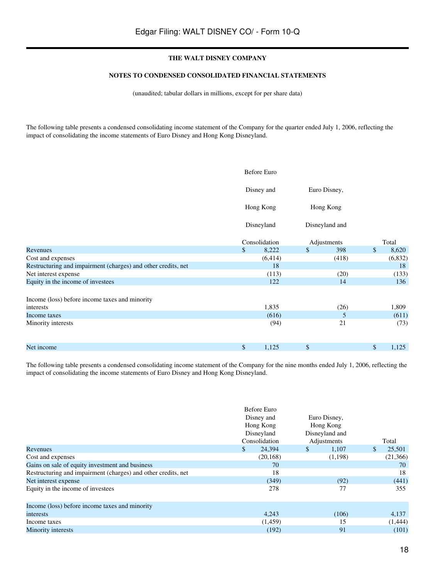#### **NOTES TO CONDENSED CONSOLIDATED FINANCIAL STATEMENTS**

(unaudited; tabular dollars in millions, except for per share data)

The following table presents a condensed consolidating income statement of the Company for the quarter ended July 1, 2006, reflecting the impact of consolidating the income statements of Euro Disney and Hong Kong Disneyland.

|                                                               |              | <b>Before Euro</b> |    |                |              |         |
|---------------------------------------------------------------|--------------|--------------------|----|----------------|--------------|---------|
|                                                               |              | Disney and         |    | Euro Disney,   |              |         |
|                                                               |              | Hong Kong          |    | Hong Kong      |              |         |
|                                                               | Disneyland   |                    |    | Disneyland and |              |         |
|                                                               |              | Consolidation      |    | Adjustments    |              | Total   |
| Revenues                                                      | $\mathbb{S}$ | 8,222              | \$ | 398            | $\mathbb{S}$ | 8,620   |
| Cost and expenses                                             |              | (6, 414)           |    | (418)          |              | (6,832) |
| Restructuring and impairment (charges) and other credits, net |              | 18                 |    |                |              | 18      |
| Net interest expense                                          |              | (113)              |    | (20)           |              | (133)   |
| Equity in the income of investees                             |              | 122                |    | 14             |              | 136     |
| Income (loss) before income taxes and minority                |              |                    |    |                |              |         |
| interests                                                     |              | 1,835              |    | (26)           |              | 1,809   |
| Income taxes                                                  |              | (616)              |    | 5              |              | (611)   |
| Minority interests                                            |              | (94)               |    | 21             |              | (73)    |
| Net income                                                    | \$           | 1,125              | \$ |                | \$           | 1,125   |

The following table presents a condensed consolidating income statement of the Company for the nine months ended July 1, 2006, reflecting the impact of consolidating the income statements of Euro Disney and Hong Kong Disneyland.

|                                                               | Before Euro<br>Disney and<br>Hong Kong<br>Disneyland<br>Consolidation | Euro Disney,<br>Hong Kong<br>Disneyland and<br>Adjustments | Total        |
|---------------------------------------------------------------|-----------------------------------------------------------------------|------------------------------------------------------------|--------------|
| Revenues                                                      | $\mathbb{S}$<br>24,394                                                | 1,107<br>\$                                                | \$<br>25,501 |
| Cost and expenses                                             | (20, 168)                                                             | (1,198)                                                    | (21,366)     |
| Gains on sale of equity investment and business               | 70                                                                    |                                                            | 70           |
| Restructuring and impairment (charges) and other credits, net | 18                                                                    |                                                            | 18           |
| Net interest expense                                          | (349)                                                                 | (92)                                                       | (441)        |
| Equity in the income of investees                             | 278                                                                   | 77                                                         | 355          |
| Income (loss) before income taxes and minority                |                                                                       |                                                            |              |
| interests                                                     | 4,243                                                                 | (106)                                                      | 4,137        |
| Income taxes                                                  | (1, 459)                                                              | 15                                                         | (1,444)      |
| Minority interests                                            | (192)                                                                 | 91                                                         | (101)        |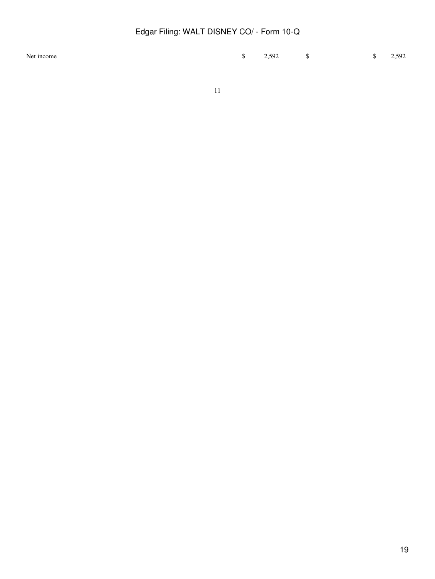| Net income |  | $\frac{1}{2}$ , 592 |  |
|------------|--|---------------------|--|
|            |  |                     |  |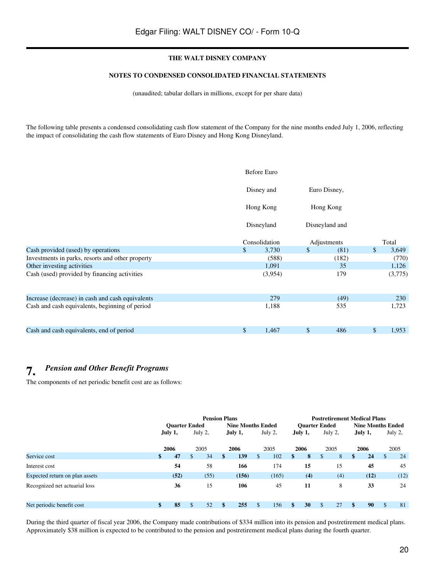# **NOTES TO CONDENSED CONSOLIDATED FINANCIAL STATEMENTS**

(unaudited; tabular dollars in millions, except for per share data)

The following table presents a condensed consolidating cash flow statement of the Company for the nine months ended July 1, 2006, reflecting the impact of consolidating the cash flow statements of Euro Disney and Hong Kong Disneyland.

|                                                  | <b>Before Euro</b> |                |              |             |
|--------------------------------------------------|--------------------|----------------|--------------|-------------|
|                                                  | Disney and         |                | Euro Disney, |             |
|                                                  | Hong Kong          |                | Hong Kong    |             |
|                                                  | Disneyland         | Disneyland and |              |             |
|                                                  | Consolidation      |                | Adjustments  | Total       |
| Cash provided (used) by operations               | \$<br>3,730        | \$             | (81)         | \$<br>3,649 |
| Investments in parks, resorts and other property | (588)              |                | (182)        | (770)       |
| Other investing activities                       | 1,091              |                | 35           | 1,126       |
| Cash (used) provided by financing activities     | (3,954)            |                | 179          | (3,775)     |
| Increase (decrease) in cash and cash equivalents | 279                |                | (49)         | 230         |
| Cash and cash equivalents, beginning of period   | 1,188              |                | 535          | 1,723       |
| Cash and cash equivalents, end of period         | \$<br>1,467        | \$             | 486          | \$<br>1,953 |

# **7.** *Pension and Other Benefit Programs*

The components of net periodic benefit cost are as follows:

|                                | <b>Pension Plans</b> |                      |         |      |                          |         |     | <b>Postretirement Medical Plans</b> |    |         |               |                          |         |      |              |      |
|--------------------------------|----------------------|----------------------|---------|------|--------------------------|---------|-----|-------------------------------------|----|---------|---------------|--------------------------|---------|------|--------------|------|
|                                |                      | <b>Ouarter Ended</b> |         |      | <b>Nine Months Ended</b> |         |     | <b>Ouarter Ended</b>                |    |         |               | <b>Nine Months Ended</b> |         |      |              |      |
|                                | July 1,              |                      | July 2, |      |                          | July 1, |     | July 2,                             |    | July 1, | July 2,       |                          | July 1, |      | July 2,      |      |
|                                |                      | 2006                 |         | 2005 |                          | 2006    |     | 2005                                |    | 2006    |               | 2005                     |         | 2006 |              | 2005 |
| Service cost                   | \$                   | 47                   | \$      | 34   | \$                       | 139     | \$. | 102                                 | \$ | 8       | <sup>\$</sup> | 8                        | \$      | 24   | $\mathbb{S}$ | 24   |
| Interest cost                  |                      | 54                   |         | 58   |                          | 166     |     | 174                                 |    | 15      |               | 15                       |         | 45   |              | 45   |
| Expected return on plan assets |                      | (52)                 |         | (55) |                          | (156)   |     | (165)                               |    | (4)     |               | (4)                      |         | (12) |              | (12) |
| Recognized net actuarial loss  |                      | 36                   |         | 15   |                          | 106     |     | 45                                  |    | 11      |               | 8                        |         | 33   |              | 24   |
| Net periodic benefit cost      | \$                   | 85                   | \$      | 52   |                          | 255     | \$  | 156                                 |    | 30      | \$            | 27                       | \$      | 90   | \$           | 81   |

During the third quarter of fiscal year 2006, the Company made contributions of \$334 million into its pension and postretirement medical plans. Approximately \$38 million is expected to be contributed to the pension and postretirement medical plans during the fourth quarter.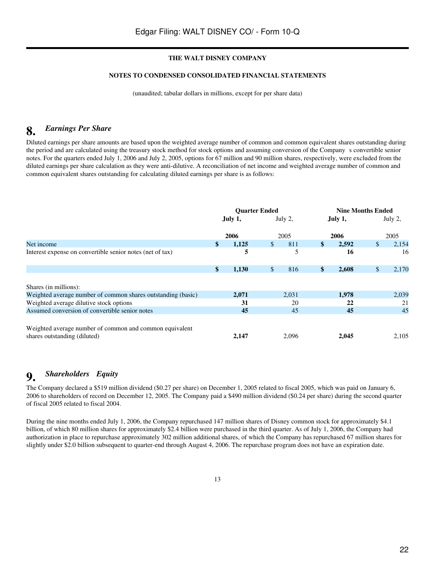# **NOTES TO CONDENSED CONSOLIDATED FINANCIAL STATEMENTS**

(unaudited; tabular dollars in millions, except for per share data)

# **8.** *Earnings Per Share*

Diluted earnings per share amounts are based upon the weighted average number of common and common equivalent shares outstanding during the period and are calculated using the treasury stock method for stock options and assuming conversion of the Companys convertible senior notes. For the quarters ended July 1, 2006 and July 2, 2005, options for 67 million and 90 million shares, respectively, were excluded from the diluted earnings per share calculation as they were anti-dilutive. A reconciliation of net income and weighted average number of common and common equivalent shares outstanding for calculating diluted earnings per share is as follows:

|                                                                                         | <b>Ouarter Ended</b> |       |              | <b>Nine Months Ended</b> |               |       |         |       |
|-----------------------------------------------------------------------------------------|----------------------|-------|--------------|--------------------------|---------------|-------|---------|-------|
|                                                                                         | July 1,              |       | July 2,      |                          | July 1,       |       | July 2, |       |
|                                                                                         |                      | 2006  |              | 2005                     |               | 2006  |         | 2005  |
| Net income                                                                              | \$                   | 1,125 | $\mathbb{S}$ | 811                      | $\mathbf{\$}$ | 2,592 | \$      | 2,154 |
| Interest expense on convertible senior notes (net of tax)                               |                      | 5     |              | 5                        |               | 16    |         | 16    |
|                                                                                         | \$                   | 1,130 | $\mathbb{S}$ | 816                      | $\mathbf{\$}$ | 2,608 | \$      | 2,170 |
| Shares (in millions):                                                                   |                      |       |              |                          |               |       |         |       |
| Weighted average number of common shares outstanding (basic)                            |                      | 2,071 |              | 2,031                    |               | 1,978 |         | 2,039 |
| Weighted average dilutive stock options                                                 |                      | 31    |              | 20                       |               | 22    |         | 21    |
| Assumed conversion of convertible senior notes                                          |                      | 45    |              | 45                       |               | 45    |         | 45    |
| Weighted average number of common and common equivalent<br>shares outstanding (diluted) |                      | 2.147 |              | 2.096                    |               | 2.045 |         | 2,105 |

# **9.** *Shareholders Equity*

The Company declared a \$519 million dividend (\$0.27 per share) on December 1, 2005 related to fiscal 2005, which was paid on January 6, 2006 to shareholders of record on December 12, 2005. The Company paid a \$490 million dividend (\$0.24 per share) during the second quarter of fiscal 2005 related to fiscal 2004.

During the nine months ended July 1, 2006, the Company repurchased 147 million shares of Disney common stock for approximately \$4.1 billion, of which 80 million shares for approximately \$2.4 billion were purchased in the third quarter. As of July 1, 2006, the Company had authorization in place to repurchase approximately 302 million additional shares, of which the Company has repurchased 67 million shares for slightly under \$2.0 billion subsequent to quarter-end through August 4, 2006. The repurchase program does not have an expiration date.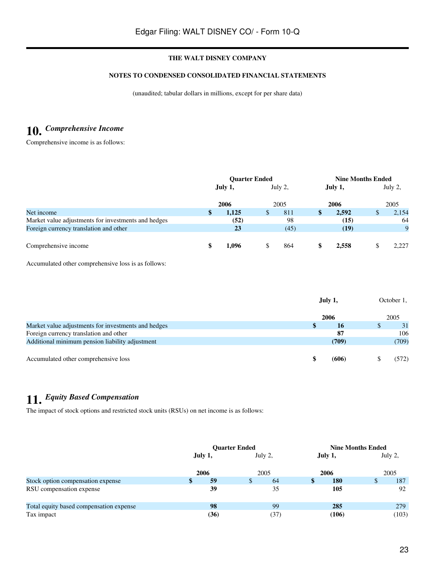# **NOTES TO CONDENSED CONSOLIDATED FINANCIAL STATEMENTS**

(unaudited; tabular dollars in millions, except for per share data)

# **10.** *Comprehensive Income*

Comprehensive income is as follows:

|                                                     | <b>Ouarter Ended</b> |       |         |      |         | <b>Nine Months Ended</b> |         |       |  |  |
|-----------------------------------------------------|----------------------|-------|---------|------|---------|--------------------------|---------|-------|--|--|
|                                                     | July 1,              |       | July 2, |      | July 1, |                          | July 2, |       |  |  |
|                                                     |                      | 2006  |         | 2005 |         | 2006                     |         | 2005  |  |  |
| Net income                                          | S.                   | 1.125 | Ф       | 811  | S       | 2.592                    | \$      | 2,154 |  |  |
| Market value adjustments for investments and hedges |                      | (52)  |         | 98   |         | (15)                     |         | 64    |  |  |
| Foreign currency translation and other              |                      | 23    |         | (45) |         | (19)                     |         | 9     |  |  |
|                                                     |                      |       |         |      |         |                          |         |       |  |  |
| Comprehensive income                                | S                    | 1,096 |         | 864  | S       | 2.558                    | D       | 2.227 |  |  |

Accumulated other comprehensive loss is as follows:

|                                                     | July 1, | October 1, |     |
|-----------------------------------------------------|---------|------------|-----|
|                                                     | 2006    | 2005       |     |
| Market value adjustments for investments and hedges | S<br>16 |            | 31  |
| Foreign currency translation and other              | 87      |            | 106 |
| Additional minimum pension liability adjustment     | (709)   | (709)      |     |
| Accumulated other comprehensive loss                | (606)   | 572)       |     |

# **11.** *Equity Based Compensation*

The impact of stock options and restricted stock units (RSUs) on net income is as follows:

|                                         |         |      | <b>Ouarter Ended</b> |         | <b>Nine Months Ended</b> |         |    |         |  |
|-----------------------------------------|---------|------|----------------------|---------|--------------------------|---------|----|---------|--|
|                                         | July 1, |      |                      | July 2, |                          | July 1, |    | July 2, |  |
|                                         | 2006    |      |                      | 2005    |                          | 2006    |    | 2005    |  |
| Stock option compensation expense       | \$      | 59   | \$                   | 64      | Э                        | 180     | \$ | 187     |  |
| RSU compensation expense                |         | 39   |                      | 35      |                          | 105     |    | 92      |  |
| Total equity based compensation expense |         | 98   |                      | 99      |                          | 285     |    | 279     |  |
| Tax impact                              |         | (36) |                      | (37)    |                          | (106)   |    | (103)   |  |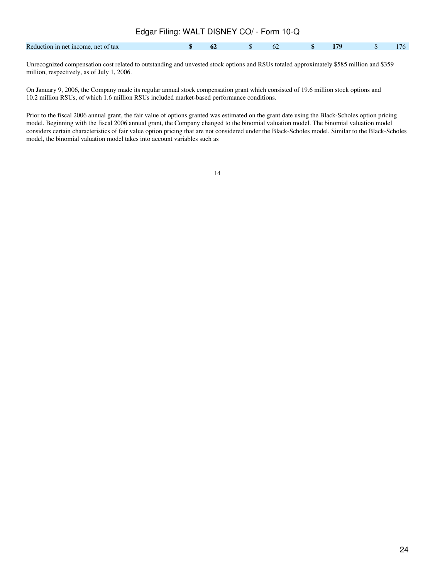| Edgar Filing: WALT DISNEY CO/ - Form 10-Q |  |  |  |              |    |               |  |  |  |  |
|-------------------------------------------|--|--|--|--------------|----|---------------|--|--|--|--|
| Reduction in net income, net of tax       |  |  |  | $\mathbf{s}$ | 62 | $\sim$ \$ 179 |  |  |  |  |

Unrecognized compensation cost related to outstanding and unvested stock options and RSUs totaled approximately \$585 million and \$359 million, respectively, as of July 1, 2006.

On January 9, 2006, the Company made its regular annual stock compensation grant which consisted of 19.6 million stock options and 10.2 million RSUs, of which 1.6 million RSUs included market-based performance conditions.

Prior to the fiscal 2006 annual grant, the fair value of options granted was estimated on the grant date using the Black-Scholes option pricing model. Beginning with the fiscal 2006 annual grant, the Company changed to the binomial valuation model. The binomial valuation model considers certain characteristics of fair value option pricing that are not considered under the Black-Scholes model. Similar to the Black-Scholes model, the binomial valuation model takes into account variables such as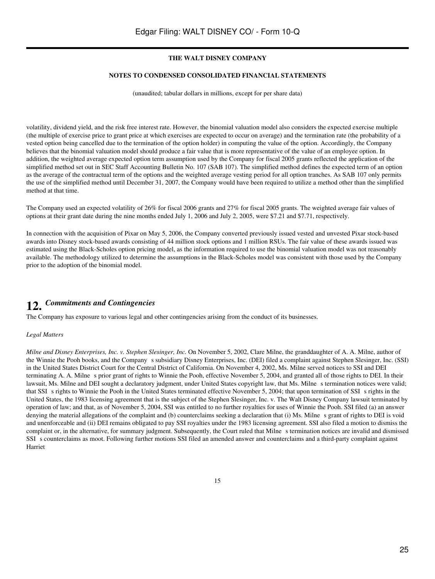#### **NOTES TO CONDENSED CONSOLIDATED FINANCIAL STATEMENTS**

(unaudited; tabular dollars in millions, except for per share data)

volatility, dividend yield, and the risk free interest rate. However, the binomial valuation model also considers the expected exercise multiple (the multiple of exercise price to grant price at which exercises are expected to occur on average) and the termination rate (the probability of a vested option being cancelled due to the termination of the option holder) in computing the value of the option. Accordingly, the Company believes that the binomial valuation model should produce a fair value that is more representative of the value of an employee option. In addition, the weighted average expected option term assumption used by the Company for fiscal 2005 grants reflected the application of the simplified method set out in SEC Staff Accounting Bulletin No. 107 (SAB 107). The simplified method defines the expected term of an option as the average of the contractual term of the options and the weighted average vesting period for all option tranches. As SAB 107 only permits the use of the simplified method until December 31, 2007, the Company would have been required to utilize a method other than the simplified method at that time.

The Company used an expected volatility of 26% for fiscal 2006 grants and 27% for fiscal 2005 grants. The weighted average fair values of options at their grant date during the nine months ended July 1, 2006 and July 2, 2005, were \$7.21 and \$7.71, respectively.

In connection with the acquisition of Pixar on May 5, 2006, the Company converted previously issued vested and unvested Pixar stock-based awards into Disney stock-based awards consisting of 44 million stock options and 1 million RSUs. The fair value of these awards issued was estimated using the Black-Scholes option pricing model, as the information required to use the binomial valuation model was not reasonably available. The methodology utilized to determine the assumptions in the Black-Scholes model was consistent with those used by the Company prior to the adoption of the binomial model.

# **12.** *Commitments and Contingencies*

The Company has exposure to various legal and other contingencies arising from the conduct of its businesses.

## *Legal Matters*

*Milne and Disney Enterprises, Inc. v. Stephen Slesinger, Inc.* On November 5, 2002, Clare Milne, the granddaughter of A. A. Milne, author of the Winnie the Pooh books, and the Company s subsidiary Disney Enterprises, Inc. (DEI) filed a complaint against Stephen Slesinger, Inc. (SSI) in the United States District Court for the Central District of California. On November 4, 2002, Ms. Milne served notices to SSI and DEI terminating A. A. Milnes prior grant of rights to Winnie the Pooh, effective November 5, 2004, and granted all of those rights to DEI. In their lawsuit, Ms. Milne and DEI sought a declaratory judgment, under United States copyright law, that Ms. Milne s termination notices were valid; that SSI s rights to Winnie the Pooh in the United States terminated effective November 5, 2004; that upon termination of SSI s rights in the United States, the 1983 licensing agreement that is the subject of the Stephen Slesinger, Inc. v. The Walt Disney Company lawsuit terminated by operation of law; and that, as of November 5, 2004, SSI was entitled to no further royalties for uses of Winnie the Pooh. SSI filed (a) an answer denying the material allegations of the complaint and (b) counterclaims seeking a declaration that (i) Ms. Milne s grant of rights to DEI is void and unenforceable and (ii) DEI remains obligated to pay SSI royalties under the 1983 licensing agreement. SSI also filed a motion to dismiss the complaint or, in the alternative, for summary judgment. Subsequently, the Court ruled that Milne s termination notices are invalid and dismissed SSI s counterclaims as moot. Following further motions SSI filed an amended answer and counterclaims and a third-party complaint against Harriet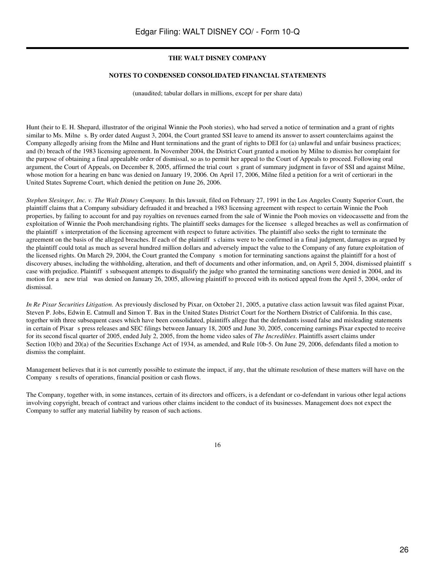#### **NOTES TO CONDENSED CONSOLIDATED FINANCIAL STATEMENTS**

(unaudited; tabular dollars in millions, except for per share data)

Hunt (heir to E. H. Shepard, illustrator of the original Winnie the Pooh stories), who had served a notice of termination and a grant of rights similar to Ms. Milne s. By order dated August 3, 2004, the Court granted SSI leave to amend its answer to assert counterclaims against the Company allegedly arising from the Milne and Hunt terminations and the grant of rights to DEI for (a) unlawful and unfair business practices; and (b) breach of the 1983 licensing agreement. In November 2004, the District Court granted a motion by Milne to dismiss her complaint for the purpose of obtaining a final appealable order of dismissal, so as to permit her appeal to the Court of Appeals to proceed. Following oral argument, the Court of Appeals, on December 8, 2005, affirmed the trial court s grant of summary judgment in favor of SSI and against Milne, whose motion for a hearing en banc was denied on January 19, 2006. On April 17, 2006, Milne filed a petition for a writ of certiorari in the United States Supreme Court, which denied the petition on June 26, 2006.

*Stephen Slesinger, Inc. v. The Walt Disney Company.* In this lawsuit, filed on February 27, 1991 in the Los Angeles County Superior Court, the plaintiff claims that a Company subsidiary defrauded it and breached a 1983 licensing agreement with respect to certain Winnie the Pooh properties, by failing to account for and pay royalties on revenues earned from the sale of Winnie the Pooh movies on videocassette and from the exploitation of Winnie the Pooh merchandising rights. The plaintiff seeks damages for the licensee s alleged breaches as well as confirmation of the plaintiff s interpretation of the licensing agreement with respect to future activities. The plaintiff also seeks the right to terminate the agreement on the basis of the alleged breaches. If each of the plaintiff s claims were to be confirmed in a final judgment, damages as argued by the plaintiff could total as much as several hundred million dollars and adversely impact the value to the Company of any future exploitation of the licensed rights. On March 29, 2004, the Court granted the Company s motion for terminating sanctions against the plaintiff for a host of discovery abuses, including the withholding, alteration, and theft of documents and other information, and, on April 5, 2004, dismissed plaintiff s case with prejudice. Plaintiff s subsequent attempts to disqualify the judge who granted the terminating sanctions were denied in 2004, and its motion for a new trial was denied on January 26, 2005, allowing plaintiff to proceed with its noticed appeal from the April 5, 2004, order of dismissal.

*In Re Pixar Securities Litigation.* As previously disclosed by Pixar, on October 21, 2005, a putative class action lawsuit was filed against Pixar, Steven P. Jobs, Edwin E. Catmull and Simon T. Bax in the United States District Court for the Northern District of California. In this case, together with three subsequent cases which have been consolidated, plaintiffs allege that the defendants issued false and misleading statements in certain of Pixar s press releases and SEC filings between January 18, 2005 and June 30, 2005, concerning earnings Pixar expected to receive for its second fiscal quarter of 2005, ended July 2, 2005, from the home video sales of *The Incredibles*. Plaintiffs assert claims under Section 10(b) and 20(a) of the Securities Exchange Act of 1934, as amended, and Rule 10b-5. On June 29, 2006, defendants filed a motion to dismiss the complaint.

Management believes that it is not currently possible to estimate the impact, if any, that the ultimate resolution of these matters will have on the Company s results of operations, financial position or cash flows.

The Company, together with, in some instances, certain of its directors and officers, is a defendant or co-defendant in various other legal actions involving copyright, breach of contract and various other claims incident to the conduct of its businesses. Management does not expect the Company to suffer any material liability by reason of such actions.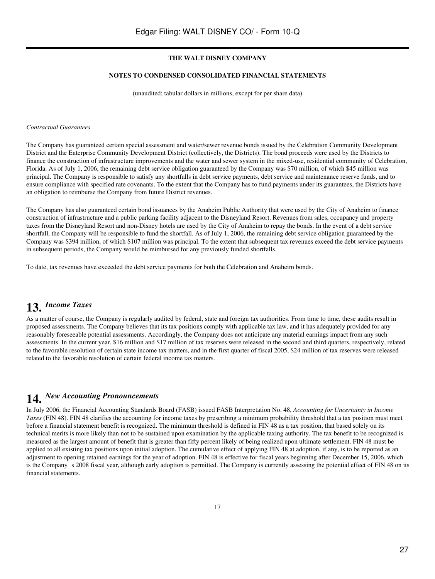# **NOTES TO CONDENSED CONSOLIDATED FINANCIAL STATEMENTS**

(unaudited; tabular dollars in millions, except for per share data)

#### *Contractual Guarantees*

The Company has guaranteed certain special assessment and water/sewer revenue bonds issued by the Celebration Community Development District and the Enterprise Community Development District (collectively, the Districts). The bond proceeds were used by the Districts to finance the construction of infrastructure improvements and the water and sewer system in the mixed-use, residential community of Celebration, Florida. As of July 1, 2006, the remaining debt service obligation guaranteed by the Company was \$70 million, of which \$45 million was principal. The Company is responsible to satisfy any shortfalls in debt service payments, debt service and maintenance reserve funds, and to ensure compliance with specified rate covenants. To the extent that the Company has to fund payments under its guarantees, the Districts have an obligation to reimburse the Company from future District revenues.

The Company has also guaranteed certain bond issuances by the Anaheim Public Authority that were used by the City of Anaheim to finance construction of infrastructure and a public parking facility adjacent to the Disneyland Resort. Revenues from sales, occupancy and property taxes from the Disneyland Resort and non-Disney hotels are used by the City of Anaheim to repay the bonds. In the event of a debt service shortfall, the Company will be responsible to fund the shortfall. As of July 1, 2006, the remaining debt service obligation guaranteed by the Company was \$394 million, of which \$107 million was principal. To the extent that subsequent tax revenues exceed the debt service payments in subsequent periods, the Company would be reimbursed for any previously funded shortfalls.

To date, tax revenues have exceeded the debt service payments for both the Celebration and Anaheim bonds.

# **13.** *Income Taxes*

As a matter of course, the Company is regularly audited by federal, state and foreign tax authorities. From time to time, these audits result in proposed assessments. The Company believes that its tax positions comply with applicable tax law, and it has adequately provided for any reasonably foreseeable potential assessments. Accordingly, the Company does not anticipate any material earnings impact from any such assessments. In the current year, \$16 million and \$17 million of tax reserves were released in the second and third quarters, respectively, related to the favorable resolution of certain state income tax matters, and in the first quarter of fiscal 2005, \$24 million of tax reserves were released related to the favorable resolution of certain federal income tax matters.

# **14.** *New Accounting Pronouncements*

In July 2006, the Financial Accounting Standards Board (FASB) issued FASB Interpretation No. 48, *Accounting for Uncertainty in Income Taxes* (FIN 48). FIN 48 clarifies the accounting for income taxes by prescribing a minimum probability threshold that a tax position must meet before a financial statement benefit is recognized. The minimum threshold is defined in FIN 48 as a tax position, that based solely on its technical merits is more likely than not to be sustained upon examination by the applicable taxing authority. The tax benefit to be recognized is measured as the largest amount of benefit that is greater than fifty percent likely of being realized upon ultimate settlement. FIN 48 must be applied to all existing tax positions upon initial adoption. The cumulative effect of applying FIN 48 at adoption, if any, is to be reported as an adjustment to opening retained earnings for the year of adoption. FIN 48 is effective for fiscal years beginning after December 15, 2006, which is the Company s 2008 fiscal year, although early adoption is permitted. The Company is currently assessing the potential effect of FIN 48 on its financial statements.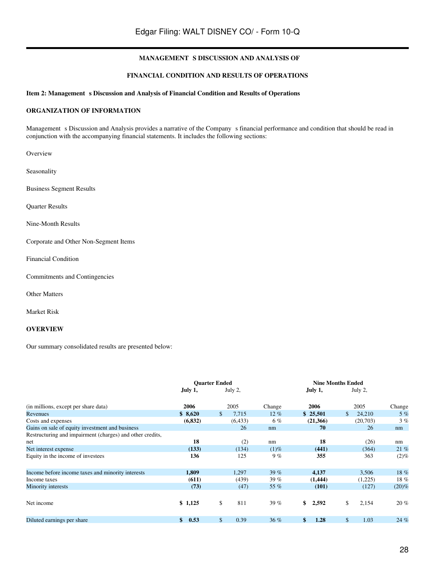#### **FINANCIAL CONDITION AND RESULTS OF OPERATIONS**

# Item 2: Management s Discussion and Analysis of Financial Condition and Results of Operations

## **ORGANIZATION OF INFORMATION**

Management s Discussion and Analysis provides a narrative of the Company s financial performance and condition that should be read in conjunction with the accompanying financial statements. It includes the following sections:

Overview

Seasonality

Business Segment Results

Quarter Results

Nine-Month Results

Corporate and Other Non-Segment Items

Financial Condition

Commitments and Contingencies

Other Matters

Market Risk

# **OVERVIEW**

Our summary consolidated results are presented below:

|                                                           | <b>Quarter Ended</b> |             | <b>Nine Months Ended</b> |    |          |               |          |         |
|-----------------------------------------------------------|----------------------|-------------|--------------------------|----|----------|---------------|----------|---------|
|                                                           | July 1,              | July 2,     |                          |    | July 1,  |               | July 2,  |         |
| (in millions, except per share data)                      | 2006                 | 2005        | Change                   |    | 2006     |               | 2005     | Change  |
| Revenues                                                  | \$8,620              | \$<br>7.715 | $12\%$                   |    | \$25,501 | $\mathcal{S}$ | 24,210   | 5%      |
| Costs and expenses                                        | (6, 832)             | (6, 433)    | 6%                       |    | (21,366) |               | (20,703) | 3%      |
| Gains on sale of equity investment and business           |                      | 26          | nm                       |    | 70       |               | 26       | nm      |
| Restructuring and impairment (charges) and other credits, |                      |             |                          |    |          |               |          |         |
| net                                                       | 18                   | (2)         | nm                       |    | 18       |               | (26)     | nm      |
| Net interest expense                                      | (133)                | (134)       | $(1)\%$                  |    | (441)    |               | (364)    | 21 %    |
| Equity in the income of investees                         | 136                  | 125         | 9%                       |    | 355      |               | 363      | $(2)\%$ |
| Income before income taxes and minority interests         | 1,809                | 1,297       | 39%                      |    | 4,137    |               | 3,506    | 18%     |
| Income taxes                                              | (611)                | (439)       | 39%                      |    | (1,444)  |               | (1,225)  | 18%     |
| Minority interests                                        | (73)                 | (47)        | 55 %                     |    | (101)    |               | (127)    | (20)%   |
| Net income                                                | \$1,125              | \$<br>811   | 39%                      | \$ | 2,592    | \$            | 2,154    | $20\%$  |
| Diluted earnings per share                                | 0.53<br>\$           | \$<br>0.39  | 36%                      | \$ | 1.28     | $\mathbb{S}$  | 1.03     | 24 %    |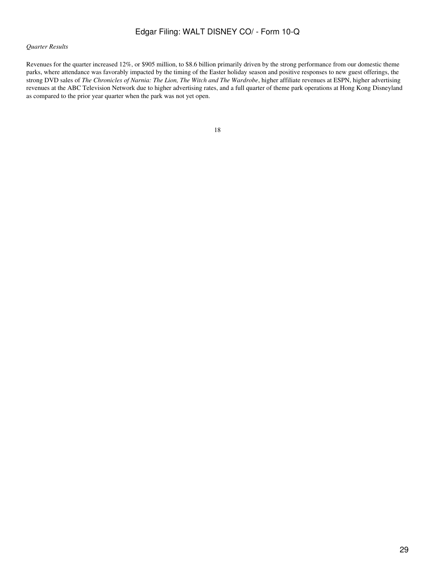# *Quarter Results*

Revenues for the quarter increased 12%, or \$905 million, to \$8.6 billion primarily driven by the strong performance from our domestic theme parks, where attendance was favorably impacted by the timing of the Easter holiday season and positive responses to new guest offerings, the strong DVD sales of *The Chronicles of Narnia: The Lion, The Witch and The Wardrobe*, higher affiliate revenues at ESPN, higher advertising revenues at the ABC Television Network due to higher advertising rates, and a full quarter of theme park operations at Hong Kong Disneyland as compared to the prior year quarter when the park was not yet open.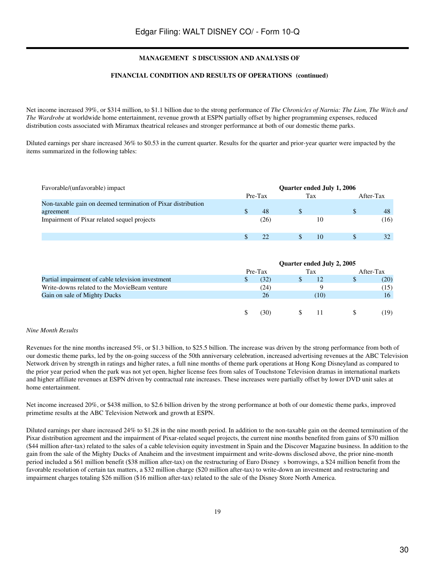## FINANCIAL CONDITION AND RESULTS OF OPERATIONS (continued)

Net income increased 39%, or \$314 million, to \$1.1 billion due to the strong performance of *The Chronicles of Narnia: The Lion, The Witch and The Wardrobe* at worldwide home entertainment, revenue growth at ESPN partially offset by higher programming expenses, reduced distribution costs associated with Miramax theatrical releases and stronger performance at both of our domestic theme parks.

Diluted earnings per share increased 36% to \$0.53 in the current quarter. Results for the quarter and prior-year quarter were impacted by the items summarized in the following tables:

| Favorable/(unfavorable) impact                               | Quarter ended July 1, 2006 |         |     |    |           |      |  |  |
|--------------------------------------------------------------|----------------------------|---------|-----|----|-----------|------|--|--|
|                                                              |                            | Pre-Tax | Tax |    | After-Tax |      |  |  |
| Non-taxable gain on deemed termination of Pixar distribution |                            |         |     |    |           |      |  |  |
| agreement                                                    |                            | 48      |     |    |           | 48   |  |  |
| Impairment of Pixar related sequel projects                  |                            | (26)    |     | 10 |           | (16) |  |  |
|                                                              |                            |         |     | 10 |           |      |  |  |

|                                                   |         | Quarter ended July 2, 2005 |      |   |           |
|---------------------------------------------------|---------|----------------------------|------|---|-----------|
|                                                   | Pre-Tax |                            | Tax  |   | After-Tax |
| Partial impairment of cable television investment | (32)    |                            | 12   | D | (20)      |
| Write-downs related to the MovieBeam venture      | (24)    |                            |      |   | (15)      |
| Gain on sale of Mighty Ducks                      | 26      |                            | (10) |   | 16        |
|                                                   |         |                            |      |   |           |
|                                                   | 30)     |                            |      |   | (19       |

#### *Nine Month Results*

Revenues for the nine months increased 5%, or \$1.3 billion, to \$25.5 billion. The increase was driven by the strong performance from both of our domestic theme parks, led by the on-going success of the 50th anniversary celebration, increased advertising revenues at the ABC Television Network driven by strength in ratings and higher rates, a full nine months of theme park operations at Hong Kong Disneyland as compared to the prior year period when the park was not yet open, higher license fees from sales of Touchstone Television dramas in international markets and higher affiliate revenues at ESPN driven by contractual rate increases. These increases were partially offset by lower DVD unit sales at home entertainment.

Net income increased 20%, or \$438 million, to \$2.6 billion driven by the strong performance at both of our domestic theme parks, improved primetime results at the ABC Television Network and growth at ESPN.

Diluted earnings per share increased 24% to \$1.28 in the nine month period. In addition to the non-taxable gain on the deemed termination of the Pixar distribution agreement and the impairment of Pixar-related sequel projects, the current nine months benefited from gains of \$70 million (\$44 million after-tax) related to the sales of a cable television equity investment in Spain and the Discover Magazine business. In addition to the gain from the sale of the Mighty Ducks of Anaheim and the investment impairment and write-downs disclosed above, the prior nine-month period included a \$61 million benefit (\$38 million after-tax) on the restructuring of Euro Disneys borrowings, a \$24 million benefit from the favorable resolution of certain tax matters, a \$32 million charge (\$20 million after-tax) to write-down an investment and restructuring and impairment charges totaling \$26 million (\$16 million after-tax) related to the sale of the Disney Store North America.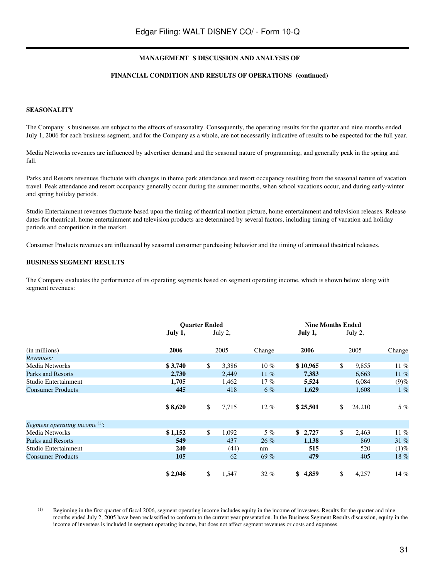#### FINANCIAL CONDITION AND RESULTS OF OPERATIONS (continued)

#### **SEASONALITY**

The Company s businesses are subject to the effects of seasonality. Consequently, the operating results for the quarter and nine months ended July 1, 2006 for each business segment, and for the Company as a whole, are not necessarily indicative of results to be expected for the full year.

Media Networks revenues are influenced by advertiser demand and the seasonal nature of programming, and generally peak in the spring and fall.

Parks and Resorts revenues fluctuate with changes in theme park attendance and resort occupancy resulting from the seasonal nature of vacation travel. Peak attendance and resort occupancy generally occur during the summer months, when school vacations occur, and during early-winter and spring holiday periods.

Studio Entertainment revenues fluctuate based upon the timing of theatrical motion picture, home entertainment and television releases. Release dates for theatrical, home entertainment and television products are determined by several factors, including timing of vacation and holiday periods and competition in the market.

Consumer Products revenues are influenced by seasonal consumer purchasing behavior and the timing of animated theatrical releases.

#### **BUSINESS SEGMENT RESULTS**

The Company evaluates the performance of its operating segments based on segment operating income, which is shown below along with segment revenues:

|                                  |         | <b>Quarter Ended</b> |         |        |          |     | <b>Nine Months Ended</b> |         |         |
|----------------------------------|---------|----------------------|---------|--------|----------|-----|--------------------------|---------|---------|
|                                  | July 1, |                      | July 2, |        | July 1,  |     |                          | July 2, |         |
| (in millions)                    | 2006    |                      | 2005    | Change | 2006     |     |                          | 2005    | Change  |
| Revenues:                        |         |                      |         |        |          |     |                          |         |         |
| Media Networks                   | \$3,740 | \$                   | 3,386   | $10\%$ | \$10,965 |     | \$                       | 9,855   | $11\%$  |
| Parks and Resorts                | 2,730   |                      | 2.449   | $11\%$ | 7,383    |     |                          | 6.663   | $11\%$  |
| Studio Entertainment             | 1,705   |                      | 1,462   | $17\%$ | 5,524    |     |                          | 6,084   | $(9)$ % |
| <b>Consumer Products</b>         | 445     |                      | 418     | $6\%$  | 1,629    |     |                          | 1,608   | $1\%$   |
|                                  |         |                      |         |        |          |     |                          |         |         |
|                                  | \$8,620 | \$                   | 7,715   | $12\%$ | \$25,501 |     | \$                       | 24,210  | $5\%$   |
| Segment operating income $(1)$ : |         |                      |         |        |          |     |                          |         |         |
| Media Networks                   | \$1,152 | \$                   | 1,092   | $5\%$  | \$2,727  |     | \$                       | 2,463   | 11%     |
| Parks and Resorts                | 549     |                      | 437     | $26\%$ | 1,138    |     |                          | 869     | 31%     |
| Studio Entertainment             | 240     |                      | (44)    | nm     |          | 515 |                          | 520     | $(1)$ % |
| <b>Consumer Products</b>         | 105     |                      | 62      | 69%    |          | 479 |                          | 405     | 18%     |
|                                  |         |                      |         |        |          |     |                          |         |         |
|                                  | \$2,046 | \$                   | 1,547   | $32\%$ | \$4,859  |     | \$                       | 4,257   | $14\%$  |

(1) Beginning in the first quarter of fiscal 2006, segment operating income includes equity in the income of investees. Results for the quarter and nine months ended July 2, 2005 have been reclassified to conform to the current year presentation. In the Business Segment Results discussion, equity in the income of investees is included in segment operating income, but does not affect segment revenues or costs and expenses.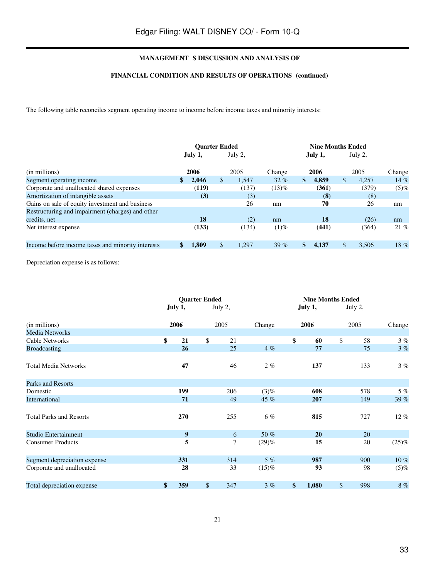# FINANCIAL CONDITION AND RESULTS OF OPERATIONS (continued)

The following table reconciles segment operating income to income before income taxes and minority interests:

|                                                   | <b>Ouarter Ended</b> |         |    |         | <b>Nine Months Ended</b> |    |         |              |         |         |
|---------------------------------------------------|----------------------|---------|----|---------|--------------------------|----|---------|--------------|---------|---------|
|                                                   |                      | July 1, |    | July 2, |                          |    | July 1, |              | July 2, |         |
| (in millions)                                     |                      | 2006    |    | 2005    | Change                   |    | 2006    |              | 2005    | Change  |
| Segment operating income                          | \$                   | 2.046   | \$ | 1,547   | $32\%$                   | \$ | 4,859   | $\mathbb{S}$ | 4.257   | 14%     |
| Corporate and unallocated shared expenses         |                      | (119)   |    | (137)   | $(13)\%$                 |    | (361)   |              | (379)   | $(5)$ % |
| Amortization of intangible assets                 |                      | (3)     |    | (3)     |                          |    | (8)     |              | (8)     |         |
| Gains on sale of equity investment and business   |                      |         |    | 26      | nm                       |    | 70      |              | 26      | nm      |
| Restructuring and impairment (charges) and other  |                      |         |    |         |                          |    |         |              |         |         |
| credits, net                                      |                      | 18      |    | (2)     | nm                       |    | 18      |              | (26)    | nm      |
| Net interest expense                              |                      | (133)   |    | (134)   | $(1)\%$                  |    | (441)   |              | (364)   | 21%     |
|                                                   |                      |         |    |         |                          |    |         |              |         |         |
| Income before income taxes and minority interests |                      | 1.809   | \$ | 1,297   | 39 $%$                   |    | 4.137   | \$           | 3,506   | 18%     |

Depreciation expense is as follows:

|                                | <b>Quarter Ended</b> |    |         |          | <b>Nine Months Ended</b> |           |        |
|--------------------------------|----------------------|----|---------|----------|--------------------------|-----------|--------|
|                                | July 1,              |    | July 2, |          | July 1,                  | July 2,   |        |
| (in millions)                  | 2006                 |    | 2005    | Change   | 2006                     | 2005      | Change |
| <b>Media Networks</b>          |                      |    |         |          |                          |           |        |
| Cable Networks                 | \$<br>21             | \$ | 21      |          | \$<br>60                 | \$<br>58  | 3%     |
| <b>Broadcasting</b>            | 26                   |    | 25      | 4%       | 77                       | 75        | 3%     |
| <b>Total Media Networks</b>    | 47                   |    | 46      | $2\%$    | 137                      | 133       | 3%     |
| Parks and Resorts              |                      |    |         |          |                          |           |        |
| Domestic                       | 199                  |    | 206     | (3)%     | 608                      | 578       | 5%     |
| International                  | 71                   |    | 49      | 45 %     | 207                      | 149       | 39 %   |
| <b>Total Parks and Resorts</b> | 270                  |    | 255     | 6%       | 815                      | 727       | $12\%$ |
| Studio Entertainment           | 9                    |    | 6       | 50 %     | 20                       | 20        |        |
| <b>Consumer Products</b>       | 5                    |    | 7       | (29)%    | 15                       | 20        | (25)%  |
| Segment depreciation expense   | 331                  |    | 314     | 5%       | 987                      | 900       | $10\%$ |
| Corporate and unallocated      | 28                   |    | 33      | $(15)\%$ | 93                       | 98        | (5)%   |
| Total depreciation expense     | \$<br>359            | \$ | 347     | 3%       | \$<br>1,080              | \$<br>998 | $8~\%$ |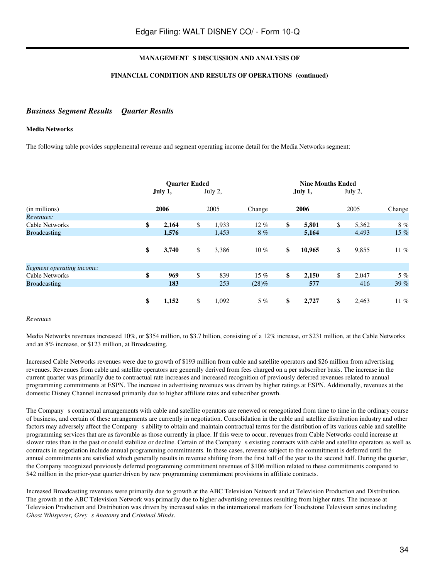## FINANCIAL CONDITION AND RESULTS OF OPERATIONS (continued)

# *Business Segment Results Quarter Results*

## **Media Networks**

The following table provides supplemental revenue and segment operating income detail for the Media Networks segment:

|                            | <b>Ouarter Ended</b><br>July 1, | July 2,              |              | <b>Nine Months Ended</b><br>July 1, | July 2,              |                |
|----------------------------|---------------------------------|----------------------|--------------|-------------------------------------|----------------------|----------------|
| (in millions)<br>Revenues: | 2006                            | 2005                 | Change       | 2006                                | 2005                 | Change         |
| Cable Networks             | \$<br>2,164                     | \$<br>1,933          | $12\%$       | \$<br>5,801                         | \$<br>5,362          | 8%             |
| <b>Broadcasting</b>        | \$<br>1,576<br>3,740            | \$<br>1,453<br>3,386 | 8%<br>$10\%$ | \$<br>5,164<br>10,965               | \$<br>4,493<br>9,855 | 15 %<br>$11\%$ |
| Segment operating income:  |                                 |                      |              |                                     |                      |                |
| Cable Networks             | \$<br>969                       | \$<br>839            | $15\%$       | \$<br>2,150                         | \$<br>2,047          | 5%             |
| <b>Broadcasting</b>        | 183                             | 253                  | $(28)\%$     | 577                                 | 416                  | 39 %           |
|                            | \$<br>1,152                     | \$<br>1,092          | $5\%$        | \$<br>2,727                         | \$<br>2,463          | $11\%$         |

#### *Revenues*

Media Networks revenues increased 10%, or \$354 million, to \$3.7 billion, consisting of a 12% increase, or \$231 million, at the Cable Networks and an 8% increase, or \$123 million, at Broadcasting.

Increased Cable Networks revenues were due to growth of \$193 million from cable and satellite operators and \$26 million from advertising revenues. Revenues from cable and satellite operators are generally derived from fees charged on a per subscriber basis. The increase in the current quarter was primarily due to contractual rate increases and increased recognition of previously deferred revenues related to annual programming commitments at ESPN. The increase in advertising revenues was driven by higher ratings at ESPN. Additionally, revenues at the domestic Disney Channel increased primarily due to higher affiliate rates and subscriber growth.

The Company s contractual arrangements with cable and satellite operators are renewed or renegotiated from time to time in the ordinary course of business, and certain of these arrangements are currently in negotiation. Consolidation in the cable and satellite distribution industry and other factors may adversely affect the Company s ability to obtain and maintain contractual terms for the distribution of its various cable and satellite programming services that are as favorable as those currently in place. If this were to occur, revenues from Cable Networks could increase at slower rates than in the past or could stabilize or decline. Certain of the Company s existing contracts with cable and satellite operators as well as contracts in negotiation include annual programming commitments. In these cases, revenue subject to the commitment is deferred until the annual commitments are satisfied which generally results in revenue shifting from the first half of the year to the second half. During the quarter, the Company recognized previously deferred programming commitment revenues of \$106 million related to these commitments compared to \$42 million in the prior-year quarter driven by new programming commitment provisions in affiliate contracts.

Increased Broadcasting revenues were primarily due to growth at the ABC Television Network and at Television Production and Distribution. The growth at the ABC Television Network was primarily due to higher advertising revenues resulting from higher rates. The increase at Television Production and Distribution was driven by increased sales in the international markets for Touchstone Television series including *Ghost Whisperer, Grey s Anatomy* and *Criminal Minds*.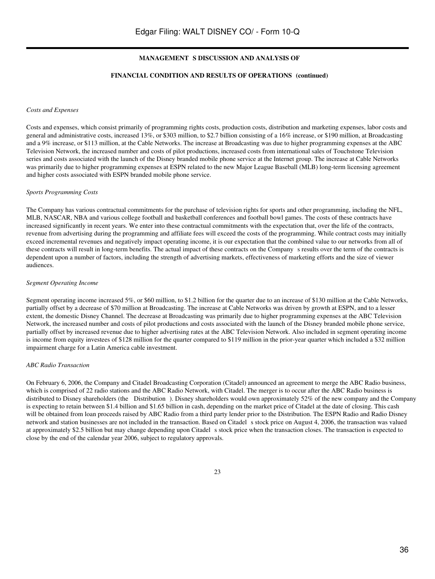#### FINANCIAL CONDITION AND RESULTS OF OPERATIONS (continued)

#### *Costs and Expenses*

Costs and expenses, which consist primarily of programming rights costs, production costs, distribution and marketing expenses, labor costs and general and administrative costs, increased 13%, or \$303 million, to \$2.7 billion consisting of a 16% increase, or \$190 million, at Broadcasting and a 9% increase, or \$113 million, at the Cable Networks. The increase at Broadcasting was due to higher programming expenses at the ABC Television Network, the increased number and costs of pilot productions, increased costs from international sales of Touchstone Television series and costs associated with the launch of the Disney branded mobile phone service at the Internet group. The increase at Cable Networks was primarily due to higher programming expenses at ESPN related to the new Major League Baseball (MLB) long-term licensing agreement and higher costs associated with ESPN branded mobile phone service.

#### *Sports Programming Costs*

The Company has various contractual commitments for the purchase of television rights for sports and other programming, including the NFL, MLB, NASCAR, NBA and various college football and basketball conferences and football bowl games. The costs of these contracts have increased significantly in recent years. We enter into these contractual commitments with the expectation that, over the life of the contracts, revenue from advertising during the programming and affiliate fees will exceed the costs of the programming. While contract costs may initially exceed incremental revenues and negatively impact operating income, it is our expectation that the combined value to our networks from all of these contracts will result in long-term benefits. The actual impact of these contracts on the Companys results over the term of the contracts is dependent upon a number of factors, including the strength of advertising markets, effectiveness of marketing efforts and the size of viewer audiences.

#### *Segment Operating Income*

Segment operating income increased 5%, or \$60 million, to \$1.2 billion for the quarter due to an increase of \$130 million at the Cable Networks, partially offset by a decrease of \$70 million at Broadcasting. The increase at Cable Networks was driven by growth at ESPN, and to a lesser extent, the domestic Disney Channel. The decrease at Broadcasting was primarily due to higher programming expenses at the ABC Television Network, the increased number and costs of pilot productions and costs associated with the launch of the Disney branded mobile phone service, partially offset by increased revenue due to higher advertising rates at the ABC Television Network. Also included in segment operating income is income from equity investees of \$128 million for the quarter compared to \$119 million in the prior-year quarter which included a \$32 million impairment charge for a Latin America cable investment.

#### *ABC Radio Transaction*

On February 6, 2006, the Company and Citadel Broadcasting Corporation (Citadel) announced an agreement to merge the ABC Radio business, which is comprised of 22 radio stations and the ABC Radio Network, with Citadel. The merger is to occur after the ABC Radio business is distributed to Disney shareholders (the Distribution). Disney shareholders would own approximately 52% of the new company and the Company is expecting to retain between \$1.4 billion and \$1.65 billion in cash, depending on the market price of Citadel at the date of closing. This cash will be obtained from loan proceeds raised by ABC Radio from a third party lender prior to the Distribution. The ESPN Radio and Radio Disney network and station businesses are not included in the transaction. Based on Citadel s stock price on August 4, 2006, the transaction was valued at approximately \$2.5 billion but may change depending upon Citadel s stock price when the transaction closes. The transaction is expected to close by the end of the calendar year 2006, subject to regulatory approvals.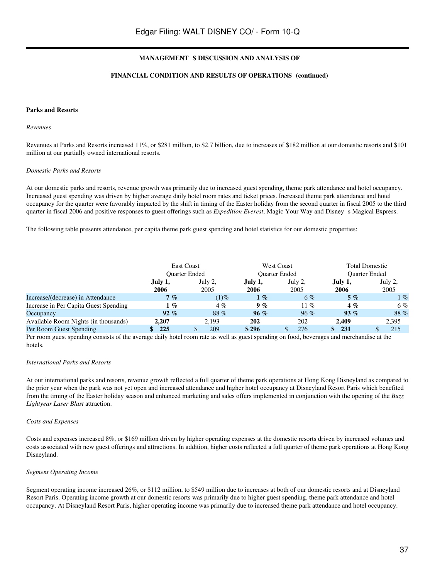#### FINANCIAL CONDITION AND RESULTS OF OPERATIONS (continued)

#### **Parks and Resorts**

#### *Revenues*

Revenues at Parks and Resorts increased 11%, or \$281 million, to \$2.7 billion, due to increases of \$182 million at our domestic resorts and \$101 million at our partially owned international resorts.

#### *Domestic Parks and Resorts*

At our domestic parks and resorts, revenue growth was primarily due to increased guest spending, theme park attendance and hotel occupancy. Increased guest spending was driven by higher average daily hotel room rates and ticket prices. Increased theme park attendance and hotel occupancy for the quarter were favorably impacted by the shift in timing of the Easter holiday from the second quarter in fiscal 2005 to the third quarter in fiscal 2006 and positive responses to guest offerings such as *Expedition Everest*, Magic Your Way and Disney s Magical Express.

The following table presents attendance, per capita theme park guest spending and hotel statistics for our domestic properties:

|                                       | East Coast |               |         | <b>West Coast</b>    | <b>Total Domestic</b><br><b>Ouarter Ended</b> |         |  |
|---------------------------------------|------------|---------------|---------|----------------------|-----------------------------------------------|---------|--|
|                                       |            | Ouarter Ended |         | <b>Ouarter Ended</b> |                                               |         |  |
|                                       | July 1,    | July 2,       | July 1, | July 2,              | July 1,                                       | July 2, |  |
|                                       | 2006       | 2005          | 2006    | 2005                 | 2006                                          | 2005    |  |
| Increase/(decrease) in Attendance     | 7%         | $(1)\%$       | $1 \%$  | $6\%$                | $5\%$                                         | $1 \%$  |  |
| Increase in Per Capita Guest Spending | 1%         | $4\%$         | 9%      | 11 %                 | $4\%$                                         | 6%      |  |
| Occupancy                             | $92\%$     | 88%           | 96%     | 96%                  | $93\%$                                        | 88%     |  |
| Available Room Nights (in thousands)  | 2.207      | 2.193         | 202     | 202                  | 2.409                                         | 2,395   |  |
| Per Room Guest Spending               | 225        | 209           | \$296   | 276                  | 231                                           | 215     |  |

Per room guest spending consists of the average daily hotel room rate as well as guest spending on food, beverages and merchandise at the hotels.

#### *International Parks and Resorts*

At our international parks and resorts, revenue growth reflected a full quarter of theme park operations at Hong Kong Disneyland as compared to the prior year when the park was not yet open and increased attendance and higher hotel occupancy at Disneyland Resort Paris which benefited from the timing of the Easter holiday season and enhanced marketing and sales offers implemented in conjunction with the opening of the *Buzz Lightyear Laser Blast* attraction.

#### *Costs and Expenses*

Costs and expenses increased 8%, or \$169 million driven by higher operating expenses at the domestic resorts driven by increased volumes and costs associated with new guest offerings and attractions. In addition, higher costs reflected a full quarter of theme park operations at Hong Kong Disneyland.

#### *Segment Operating Income*

Segment operating income increased 26%, or \$112 million, to \$549 million due to increases at both of our domestic resorts and at Disneyland Resort Paris. Operating income growth at our domestic resorts was primarily due to higher guest spending, theme park attendance and hotel occupancy. At Disneyland Resort Paris, higher operating income was primarily due to increased theme park attendance and hotel occupancy.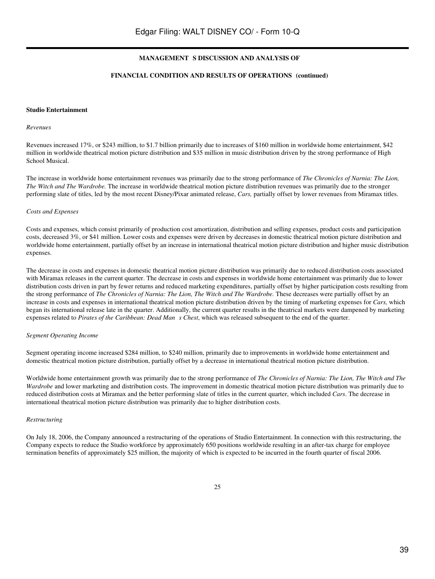#### FINANCIAL CONDITION AND RESULTS OF OPERATIONS (continued)

#### **Studio Entertainment**

#### *Revenues*

Revenues increased 17%, or \$243 million, to \$1.7 billion primarily due to increases of \$160 million in worldwide home entertainment, \$42 million in worldwide theatrical motion picture distribution and \$35 million in music distribution driven by the strong performance of High School Musical.

The increase in worldwide home entertainment revenues was primarily due to the strong performance of *The Chronicles of Narnia: The Lion, The Witch and The Wardrobe.* The increase in worldwide theatrical motion picture distribution revenues was primarily due to the stronger performing slate of titles, led by the most recent Disney/Pixar animated release, *Cars,* partially offset by lower revenues from Miramax titles.

#### *Costs and Expenses*

Costs and expenses, which consist primarily of production cost amortization, distribution and selling expenses, product costs and participation costs, decreased 3%, or \$41 million. Lower costs and expenses were driven by decreases in domestic theatrical motion picture distribution and worldwide home entertainment, partially offset by an increase in international theatrical motion picture distribution and higher music distribution expenses.

The decrease in costs and expenses in domestic theatrical motion picture distribution was primarily due to reduced distribution costs associated with Miramax releases in the current quarter. The decrease in costs and expenses in worldwide home entertainment was primarily due to lower distribution costs driven in part by fewer returns and reduced marketing expenditures, partially offset by higher participation costs resulting from the strong performance of *The Chronicles of Narnia: The Lion, The Witch and The Wardrobe.* These decreases were partially offset by an increase in costs and expenses in international theatrical motion picture distribution driven by the timing of marketing expenses for *Cars,* which began its international release late in the quarter. Additionally, the current quarter results in the theatrical markets were dampened by marketing expenses related to *Pirates of the Caribbean: Dead Mans Chest*, which was released subsequent to the end of the quarter.

#### *Segment Operating Income*

Segment operating income increased \$284 million, to \$240 million, primarily due to improvements in worldwide home entertainment and domestic theatrical motion picture distribution, partially offset by a decrease in international theatrical motion picture distribution.

Worldwide home entertainment growth was primarily due to the strong performance of *The Chronicles of Narnia: The Lion, The Witch and The Wardrobe* and lower marketing and distribution costs. The improvement in domestic theatrical motion picture distribution was primarily due to reduced distribution costs at Miramax and the better performing slate of titles in the current quarter, which included *Cars*. The decrease in international theatrical motion picture distribution was primarily due to higher distribution costs.

#### *Restructuring*

On July 18, 2006, the Company announced a restructuring of the operations of Studio Entertainment. In connection with this restructuring, the Company expects to reduce the Studio workforce by approximately 650 positions worldwide resulting in an after-tax charge for employee termination benefits of approximately \$25 million, the majority of which is expected to be incurred in the fourth quarter of fiscal 2006.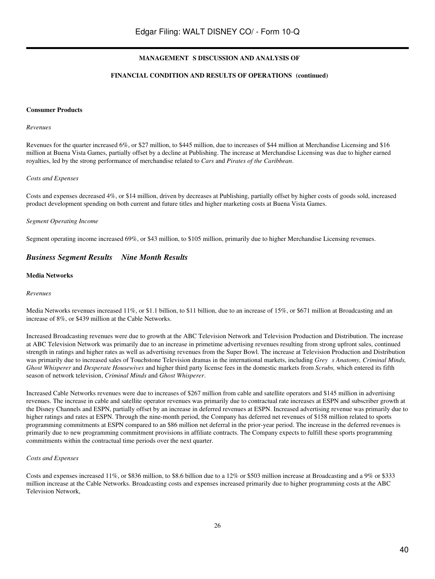#### FINANCIAL CONDITION AND RESULTS OF OPERATIONS (continued)

#### **Consumer Products**

#### *Revenues*

Revenues for the quarter increased 6%, or \$27 million, to \$445 million, due to increases of \$44 million at Merchandise Licensing and \$16 million at Buena Vista Games, partially offset by a decline at Publishing. The increase at Merchandise Licensing was due to higher earned royalties, led by the strong performance of merchandise related to *Cars* and *Pirates of the Caribbean*.

#### *Costs and Expenses*

Costs and expenses decreased 4%, or \$14 million, driven by decreases at Publishing, partially offset by higher costs of goods sold, increased product development spending on both current and future titles and higher marketing costs at Buena Vista Games.

#### *Segment Operating Income*

Segment operating income increased 69%, or \$43 million, to \$105 million, primarily due to higher Merchandise Licensing revenues.

# *Business Segment Results Nine Month Results*

#### **Media Networks**

#### *Revenues*

Media Networks revenues increased 11%, or \$1.1 billion, to \$11 billion, due to an increase of 15%, or \$671 million at Broadcasting and an increase of 8%, or \$439 million at the Cable Networks.

Increased Broadcasting revenues were due to growth at the ABC Television Network and Television Production and Distribution. The increase at ABC Television Network was primarily due to an increase in primetime advertising revenues resulting from strong upfront sales, continued strength in ratings and higher rates as well as advertising revenues from the Super Bowl. The increase at Television Production and Distribution was primarily due to increased sales of Touchstone Television dramas in the international markets, including *Greys Anatomy, Criminal Minds, Ghost Whisperer* and *Desperate Housewives* and higher third party license fees in the domestic markets from *Scrubs,* which entered its fifth season of network television, *Criminal Minds* and *Ghost Whisperer*.

Increased Cable Networks revenues were due to increases of \$267 million from cable and satellite operators and \$145 million in advertising revenues. The increase in cable and satellite operator revenues was primarily due to contractual rate increases at ESPN and subscriber growth at the Disney Channels and ESPN, partially offset by an increase in deferred revenues at ESPN. Increased advertising revenue was primarily due to higher ratings and rates at ESPN. Through the nine-month period, the Company has deferred net revenues of \$158 million related to sports programming commitments at ESPN compared to an \$86 million net deferral in the prior-year period. The increase in the deferred revenues is primarily due to new programming commitment provisions in affiliate contracts. The Company expects to fulfill these sports programming commitments within the contractual time periods over the next quarter.

#### *Costs and Expenses*

Costs and expenses increased 11%, or \$836 million, to \$8.6 billion due to a 12% or \$503 million increase at Broadcasting and a 9% or \$333 million increase at the Cable Networks. Broadcasting costs and expenses increased primarily due to higher programming costs at the ABC Television Network,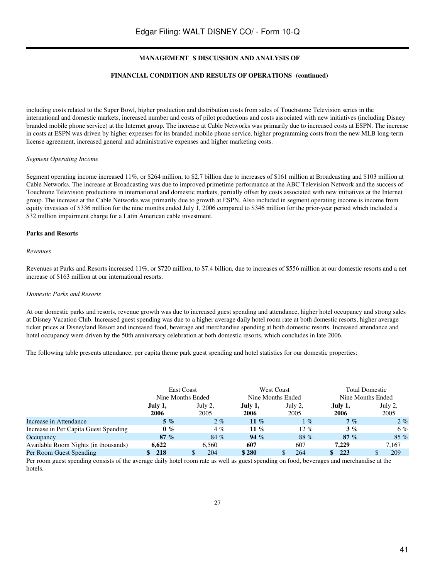#### FINANCIAL CONDITION AND RESULTS OF OPERATIONS (continued)

including costs related to the Super Bowl, higher production and distribution costs from sales of Touchstone Television series in the international and domestic markets, increased number and costs of pilot productions and costs associated with new initiatives (including Disney branded mobile phone service) at the Internet group. The increase at Cable Networks was primarily due to increased costs at ESPN. The increase in costs at ESPN was driven by higher expenses for its branded mobile phone service, higher programming costs from the new MLB long-term license agreement, increased general and administrative expenses and higher marketing costs.

#### *Segment Operating Income*

Segment operating income increased 11%, or \$264 million, to \$2.7 billion due to increases of \$161 million at Broadcasting and \$103 million at Cable Networks. The increase at Broadcasting was due to improved primetime performance at the ABC Television Network and the success of Touchtone Television productions in international and domestic markets, partially offset by costs associated with new initiatives at the Internet group. The increase at the Cable Networks was primarily due to growth at ESPN. Also included in segment operating income is income from equity investees of \$336 million for the nine months ended July 1, 2006 compared to \$346 million for the prior-year period which included a \$32 million impairment charge for a Latin American cable investment.

#### **Parks and Resorts**

#### *Revenues*

Revenues at Parks and Resorts increased 11%, or \$720 million, to \$7.4 billion, due to increases of \$556 million at our domestic resorts and a net increase of \$163 million at our international resorts.

#### *Domestic Parks and Resorts*

At our domestic parks and resorts, revenue growth was due to increased guest spending and attendance, higher hotel occupancy and strong sales at Disney Vacation Club. Increased guest spending was due to a higher average daily hotel room rate at both domestic resorts, higher average ticket prices at Disneyland Resort and increased food, beverage and merchandise spending at both domestic resorts. Increased attendance and hotel occupancy were driven by the 50th anniversary celebration at both domestic resorts, which concludes in late 2006.

The following table presents attendance, per capita theme park guest spending and hotel statistics for our domestic properties:

|                                       | <b>East Coast</b><br>Nine Months Ended |                 |                 | <b>West Coast</b><br>Nine Months Ended | <b>Total Domestic</b><br>Nine Months Ended |                 |  |  |
|---------------------------------------|----------------------------------------|-----------------|-----------------|----------------------------------------|--------------------------------------------|-----------------|--|--|
|                                       | July 1,<br>2006                        | July 2,<br>2005 | July 1,<br>2006 | July 2,<br>2005                        | July 1,<br>2006                            | July 2,<br>2005 |  |  |
| Increase in Attendance                | $5\%$                                  | $2\%$           | 11 %            | $1 \%$                                 | 7%                                         | $2\%$           |  |  |
| Increase in Per Capita Guest Spending | $0\%$                                  | $4\%$           | 11 %            | $12\%$                                 | 3%                                         | 6%              |  |  |
| Occupancy                             | 87%                                    | 84 %            | $94\%$          | 88%                                    | 87%                                        | $85\%$          |  |  |
| Available Room Nights (in thousands)  | 6.622                                  | 6.560           | 607             | 607                                    | 7.229                                      | 7.167           |  |  |
| Per Room Guest Spending               | 218                                    | 204             | \$280           | 264                                    | 223                                        | 209             |  |  |

Per room guest spending consists of the average daily hotel room rate as well as guest spending on food, beverages and merchandise at the hotels.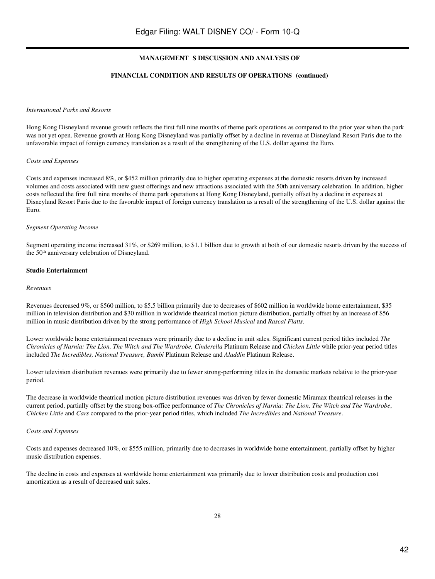#### FINANCIAL CONDITION AND RESULTS OF OPERATIONS (continued)

#### *International Parks and Resorts*

Hong Kong Disneyland revenue growth reflects the first full nine months of theme park operations as compared to the prior year when the park was not yet open. Revenue growth at Hong Kong Disneyland was partially offset by a decline in revenue at Disneyland Resort Paris due to the unfavorable impact of foreign currency translation as a result of the strengthening of the U.S. dollar against the Euro.

#### *Costs and Expenses*

Costs and expenses increased 8%, or \$452 million primarily due to higher operating expenses at the domestic resorts driven by increased volumes and costs associated with new guest offerings and new attractions associated with the 50th anniversary celebration. In addition, higher costs reflected the first full nine months of theme park operations at Hong Kong Disneyland, partially offset by a decline in expenses at Disneyland Resort Paris due to the favorable impact of foreign currency translation as a result of the strengthening of the U.S. dollar against the Euro.

#### *Segment Operating Income*

Segment operating income increased 31%, or \$269 million, to \$1.1 billion due to growth at both of our domestic resorts driven by the success of the 50<sup>th</sup> anniversary celebration of Disneyland.

#### **Studio Entertainment**

#### *Revenues*

Revenues decreased 9%, or \$560 million, to \$5.5 billion primarily due to decreases of \$602 million in worldwide home entertainment, \$35 million in television distribution and \$30 million in worldwide theatrical motion picture distribution, partially offset by an increase of \$56 million in music distribution driven by the strong performance of *High School Musical* and *Rascal Flatts*.

Lower worldwide home entertainment revenues were primarily due to a decline in unit sales. Significant current period titles included *The Chronicles of Narnia: The Lion, The Witch and The Wardrobe, Cinderella* Platinum Release and *Chicken Little* while prior-year period titles included *The Incredibles, National Treasure, Bambi* Platinum Release and *Aladdin* Platinum Release.

Lower television distribution revenues were primarily due to fewer strong-performing titles in the domestic markets relative to the prior-year period.

The decrease in worldwide theatrical motion picture distribution revenues was driven by fewer domestic Miramax theatrical releases in the current period, partially offset by the strong box-office performance of *The Chronicles of Narnia: The Lion, The Witch and The Wardrobe*, *Chicken Little* and *Cars* compared to the prior-year period titles, which included *The Incredibles* and *National Treasure*.

#### *Costs and Expenses*

Costs and expenses decreased 10%, or \$555 million, primarily due to decreases in worldwide home entertainment, partially offset by higher music distribution expenses.

The decline in costs and expenses at worldwide home entertainment was primarily due to lower distribution costs and production cost amortization as a result of decreased unit sales.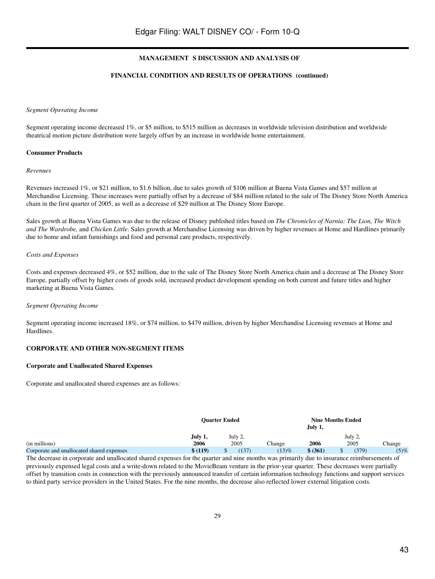# FINANCIAL CONDITION AND RESULTS OF OPERATIONS (continued)

#### *Segment Operating Income*

Segment operating income decreased 1%, or \$5 million, to \$515 million as decreases in worldwide television distribution and worldwide theatrical motion picture distribution were largely offset by an increase in worldwide home entertainment.

## **Consumer Products**

#### *Revenues*

Revenues increased 1%, or \$21 million, to \$1.6 billion, due to sales growth of \$106 million at Buena Vista Games and \$57 million at Merchandise Licensing. These increases were partially offset by a decrease of \$84 million related to the sale of The Disney Store North America chain in the first quarter of 2005, as well as a decrease of \$29 million at The Disney Store Europe.

Sales growth at Buena Vista Games was due to the release of Disney published titles based on *The Chronicles of Narnia: The Lion, The Witch and The Wardrobe,* and *Chicken Little*. Sales growth at Merchandise Licensing was driven by higher revenues at Home and Hardlines primarily due to home and infant furnishings and food and personal care products, respectively.

## *Costs and Expenses*

Costs and expenses decreased 4%, or \$52 million, due to the sale of The Disney Store North America chain and a decrease at The Disney Store Europe, partially offset by higher costs of goods sold, increased product development spending on both current and future titles and higher marketing at Buena Vista Games.

## *Segment Operating Income*

Segment operating income increased 18%, or \$74 million, to \$479 million, driven by higher Merchandise Licensing revenues at Home and Hardlines.

## **CORPORATE AND OTHER NON-SEGMENT ITEMS**

## **Corporate and Unallocated Shared Expenses**

Corporate and unallocated shared expenses are as follows:

|                                           |         | <b>Ouarter Ended</b> |          | <b>Nine Months Ended</b><br>July 1, |         |        |
|-------------------------------------------|---------|----------------------|----------|-------------------------------------|---------|--------|
|                                           | July 1, | July 2,              |          |                                     | July 2, |        |
| (in millions)                             | 2006    | 2005                 | Change   | 2006                                | 2005    | Thange |
| Corporate and unallocated shared expenses | \$(119) | (137)                | $(13)\%$ | \$ (361)                            | (379)   | (5)%   |

The decrease in corporate and unallocated shared expenses for the quarter and nine months was primarily due to insurance reimbursements of previously expensed legal costs and a write-down related to the MovieBeam venture in the prior-year quarter. These decreases were partially offset by transition costs in connection with the previously announced transfer of certain information technology functions and support services to third party service providers in the United States. For the nine months, the decrease also reflected lower external litigation costs.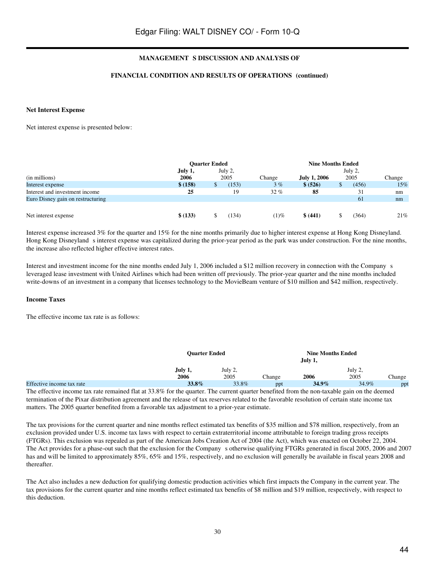## FINANCIAL CONDITION AND RESULTS OF OPERATIONS (continued)

#### **Net Interest Expense**

Net interest expense is presented below:

|                                   | <b>Ouarter Ended</b> |  |         | <b>Nine Months Ended</b> |                     |  |         |        |  |
|-----------------------------------|----------------------|--|---------|--------------------------|---------------------|--|---------|--------|--|
|                                   | July 1,              |  | July 2, |                          |                     |  | July 2, |        |  |
| (in millions)                     | 2006                 |  | 2005    | Change                   | <b>July 1, 2006</b> |  | 2005    | Change |  |
| Interest expense                  | \$(158)              |  | (153)   | 3%                       | \$ (526)            |  | (456)   | 15%    |  |
| Interest and investment income    | 25                   |  | 19      | $32\%$                   | 85                  |  | 31      | nm     |  |
| Euro Disney gain on restructuring |                      |  |         |                          |                     |  | 61      | nm     |  |
|                                   |                      |  |         |                          |                     |  |         |        |  |
| Net interest expense              | \$ (133)             |  | 134)    | $(1)\%$                  | \$ (441)            |  | (364)   | 21%    |  |

Interest expense increased 3% for the quarter and 15% for the nine months primarily due to higher interest expense at Hong Kong Disneyland. Hong Kong Disneyland s interest expense was capitalized during the prior-year period as the park was under construction. For the nine months, the increase also reflected higher effective interest rates.

Interest and investment income for the nine months ended July 1, 2006 included a \$12 million recovery in connection with the Companys leveraged lease investment with United Airlines which had been written off previously. The prior-year quarter and the nine months included write-downs of an investment in a company that licenses technology to the MovieBeam venture of \$10 million and \$42 million, respectively.

#### **Income Taxes**

The effective income tax rate is as follows:

|                           | <b>Ouarter Ended</b> |         |        | <b>Nine Months Ended</b> |         |        |
|---------------------------|----------------------|---------|--------|--------------------------|---------|--------|
|                           | July 1,              | July 2, |        |                          | July 2, |        |
|                           | 2006                 | 2005    | Change | 2006                     | 2005    | Change |
| Effective income tax rate | 33.8%                | 33.8%   | ppt    | $34.9\%$                 | 34.9%   | ppt    |

The effective income tax rate remained flat at 33.8% for the quarter. The current quarter benefited from the non-taxable gain on the deemed termination of the Pixar distribution agreement and the release of tax reserves related to the favorable resolution of certain state income tax matters. The 2005 quarter benefited from a favorable tax adjustment to a prior-year estimate.

The tax provisions for the current quarter and nine months reflect estimated tax benefits of \$35 million and \$78 million, respectively, from an exclusion provided under U.S. income tax laws with respect to certain extraterritorial income attributable to foreign trading gross receipts (FTGRs). This exclusion was repealed as part of the American Jobs Creation Act of 2004 (the Act), which was enacted on October 22, 2004. The Act provides for a phase-out such that the exclusion for the Company s otherwise qualifying FTGRs generated in fiscal 2005, 2006 and 2007 has and will be limited to approximately 85%, 65% and 15%, respectively, and no exclusion will generally be available in fiscal years 2008 and thereafter.

The Act also includes a new deduction for qualifying domestic production activities which first impacts the Company in the current year. The tax provisions for the current quarter and nine months reflect estimated tax benefits of \$8 million and \$19 million, respectively, with respect to this deduction.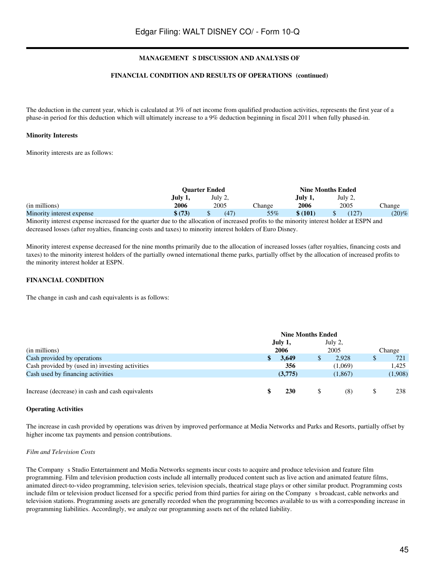# FINANCIAL CONDITION AND RESULTS OF OPERATIONS (continued)

The deduction in the current year, which is calculated at 3% of net income from qualified production activities, represents the first year of a phase-in period for this deduction which will ultimately increase to a 9% deduction beginning in fiscal 2011 when fully phased-in.

## **Minority Interests**

Minority interests are as follows:

|                           | <b>Ouarter Ended</b> |         |               |         | <b>Nine Months Ended</b> |        |
|---------------------------|----------------------|---------|---------------|---------|--------------------------|--------|
|                           | July 1,              | July 2, |               | July 1, | July 2,                  |        |
| (in millions)             | 2006                 | 2005    | <b>Change</b> | 2006    | 2005                     | Change |
| Minority interest expense | \$ (73)              | (47)    | 55%           | \$(101) | (127)                    | (20)%  |

Minority interest expense increased for the quarter due to the allocation of increased profits to the minority interest holder at ESPN and decreased losses (after royalties, financing costs and taxes) to minority interest holders of Euro Disney.

Minority interest expense decreased for the nine months primarily due to the allocation of increased losses (after royalties, financing costs and taxes) to the minority interest holders of the partially owned international theme parks, partially offset by the allocation of increased profits to the minority interest holder at ESPN.

## **FINANCIAL CONDITION**

The change in cash and cash equivalents is as follows:

|                                                  | <b>Nine Months Ended</b> |            |  |         |  |         |
|--------------------------------------------------|--------------------------|------------|--|---------|--|---------|
|                                                  |                          | July 1,    |  | July 2, |  |         |
| (in millions)                                    |                          | 2006       |  | 2005    |  | Change  |
| Cash provided by operations                      |                          | 3.649      |  | 2.928   |  | 721     |
| Cash provided by (used in) investing activities  |                          | 356        |  | (1,069) |  | 1.425   |
| Cash used by financing activities                |                          | (3,775)    |  | (1,867) |  | (1,908) |
|                                                  |                          |            |  |         |  |         |
| Increase (decrease) in cash and cash equivalents |                          | <b>230</b> |  | (8)     |  | 238     |

#### **Operating Activities**

The increase in cash provided by operations was driven by improved performance at Media Networks and Parks and Resorts, partially offset by higher income tax payments and pension contributions.

## *Film and Television Costs*

The Company s Studio Entertainment and Media Networks segments incur costs to acquire and produce television and feature film programming. Film and television production costs include all internally produced content such as live action and animated feature films, animated direct-to-video programming, television series, television specials, theatrical stage plays or other similar product. Programming costs include film or television product licensed for a specific period from third parties for airing on the Companys broadcast, cable networks and television stations. Programming assets are generally recorded when the programming becomes available to us with a corresponding increase in programming liabilities. Accordingly, we analyze our programming assets net of the related liability.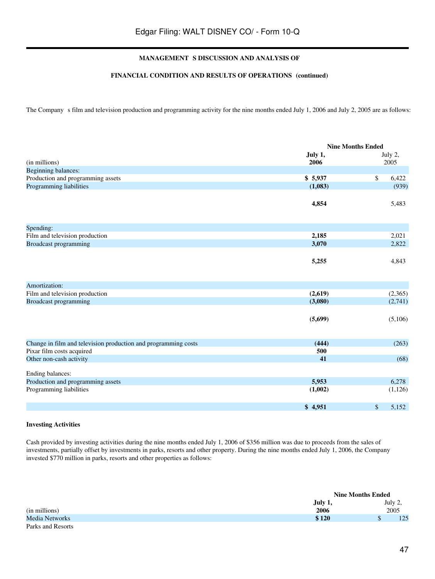# FINANCIAL CONDITION AND RESULTS OF OPERATIONS (continued)

The Company s film and television production and programming activity for the nine months ended July 1, 2006 and July 2, 2005 are as follows:

|                                                                | <b>Nine Months Ended</b> |               |
|----------------------------------------------------------------|--------------------------|---------------|
|                                                                | July 1,                  | July 2,       |
| (in millions)                                                  | 2006                     | 2005          |
| <b>Beginning balances:</b>                                     |                          |               |
| Production and programming assets                              | \$5,937                  | $\$$<br>6,422 |
| Programming liabilities                                        | (1,083)                  | (939)         |
|                                                                | 4,854                    | 5,483         |
| Spending:                                                      |                          |               |
| Film and television production                                 | 2,185                    | 2,021         |
| <b>Broadcast programming</b>                                   | 3,070                    | 2,822         |
|                                                                | 5,255                    | 4,843         |
| Amortization:                                                  |                          |               |
| Film and television production                                 | (2,619)                  | (2,365)       |
| <b>Broadcast programming</b>                                   | (3,080)                  | (2,741)       |
|                                                                | (5,699)                  | (5,106)       |
| Change in film and television production and programming costs | (444)                    | (263)         |
| Pixar film costs acquired                                      | 500                      |               |
| Other non-cash activity                                        | 41                       | (68)          |
| Ending balances:                                               |                          |               |
| Production and programming assets                              | 5,953                    | 6,278         |
| Programming liabilities                                        | (1,002)                  | (1,126)       |
|                                                                | \$4,951                  | \$<br>5,152   |

#### **Investing Activities**

Cash provided by investing activities during the nine months ended July 1, 2006 of \$356 million was due to proceeds from the sales of investments, partially offset by investments in parks, resorts and other property. During the nine months ended July 1, 2006, the Company invested \$770 million in parks, resorts and other properties as follows:

|                   |         | <b>Nine Months Ended</b> |         |
|-------------------|---------|--------------------------|---------|
|                   | July 1, |                          | July 2, |
| (in millions)     | 2006    |                          | 2005    |
| Media Networks    | \$120   |                          | 125     |
| Parks and Resorts |         |                          |         |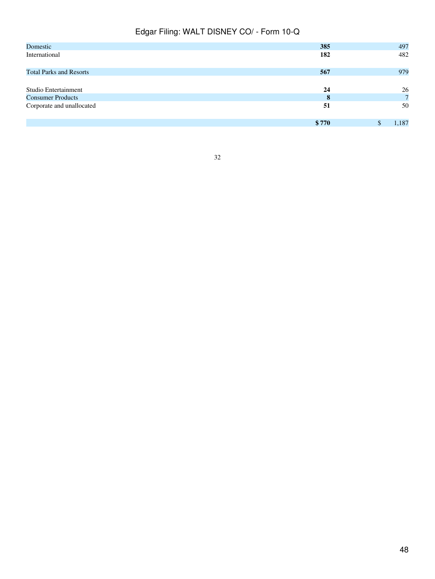| Domestic                       | 385   | 497         |
|--------------------------------|-------|-------------|
| International                  | 182   | 482         |
| <b>Total Parks and Resorts</b> | 567   | 979         |
| Studio Entertainment           | 24    | 26          |
| <b>Consumer Products</b>       | 8     | $7^{\circ}$ |
| Corporate and unallocated      | 51    | 50          |
|                                | \$770 | 1,187       |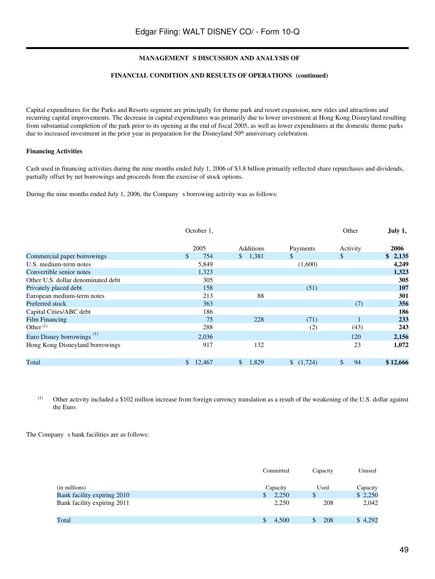# FINANCIAL CONDITION AND RESULTS OF OPERATIONS (continued)

Capital expenditures for the Parks and Resorts segment are principally for theme park and resort expansion, new rides and attractions and recurring capital improvements. The decrease in capital expenditures was primarily due to lower investment at Hong Kong Disneyland resulting from substantial completion of the park prior to its opening at the end of fiscal 2005, as well as lower expenditures at the domestic theme parks due to increased investment in the prior year in preparation for the Disneyland 50<sup>th</sup> anniversary celebration.

## **Financing Activities**

Cash used in financing activities during the nine months ended July 1, 2006 of \$3.8 billion primarily reflected share repurchases and dividends, partially offset by net borrowings and proceeds from the exercise of stock options.

During the nine months ended July 1, 2006, the Company s borrowing activity was as follows:

|                                       | October 1,   |                       |              | Other    | July 1,  |
|---------------------------------------|--------------|-----------------------|--------------|----------|----------|
|                                       | 2005         | Additions             | Payments     | Activity | 2006     |
| Commercial paper borrowings           | \$.<br>754   | \$1,381               | $\mathbb{S}$ | \$       | \$2,135  |
| U.S. medium-term notes                | 5,849        |                       | (1,600)      |          | 4,249    |
| Convertible senior notes              | 1,323        |                       |              |          | 1,323    |
| Other U.S. dollar denominated debt    | 305          |                       |              |          | 305      |
| Privately placed debt                 | 158          |                       | (51)         |          | 107      |
| European medium-term notes            | 213          | 88                    |              |          | 301      |
| Preferred stock                       | 363          |                       |              | (7)      | 356      |
| Capital Cities/ABC debt               | 186          |                       |              |          | 186      |
| <b>Film Financing</b>                 | 75           | 228                   | (71)         |          | 233      |
| Other $(1)$                           | 288          |                       | (2)          | (43)     | 243      |
| Euro Disney borrowings <sup>(1)</sup> | 2,036        |                       |              | 120      | 2,156    |
| Hong Kong Disneyland borrowings       | 917          | 132                   |              | 23       | 1,072    |
| Total                                 | 12,467<br>\$ | $\mathbb{S}$<br>1,829 | (1,724)      | \$<br>94 | \$12,666 |

(1) Other activity included a \$102 million increase from foreign currency translation as a result of the weakening of the U.S. dollar against the Euro.

The Company s bank facilities are as follows:

|                             | Committed | Capacity | Unused   |
|-----------------------------|-----------|----------|----------|
| (in millions)               | Capacity  | Used     | Capacity |
| Bank facility expiring 2010 | 2,250     | \$       | \$2,250  |
| Bank facility expiring 2011 | 2,250     | 208      | 2,042    |
| Total                       | 4.500     | 208      | \$4,292  |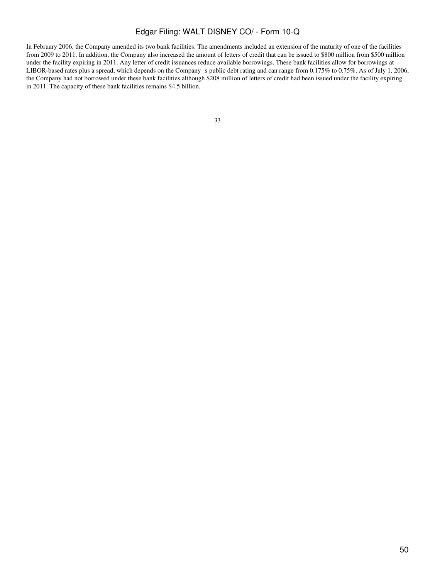In February 2006, the Company amended its two bank facilities. The amendments included an extension of the maturity of one of the facilities from 2009 to 2011. In addition, the Company also increased the amount of letters of credit that can be issued to \$800 million from \$500 million under the facility expiring in 2011. Any letter of credit issuances reduce available borrowings. These bank facilities allow for borrowings at LIBOR-based rates plus a spread, which depends on the Company s public debt rating and can range from 0.175% to 0.75%. As of July 1, 2006, the Company had not borrowed under these bank facilities although \$208 million of letters of credit had been issued under the facility expiring in 2011. The capacity of these bank facilities remains \$4.5 billion.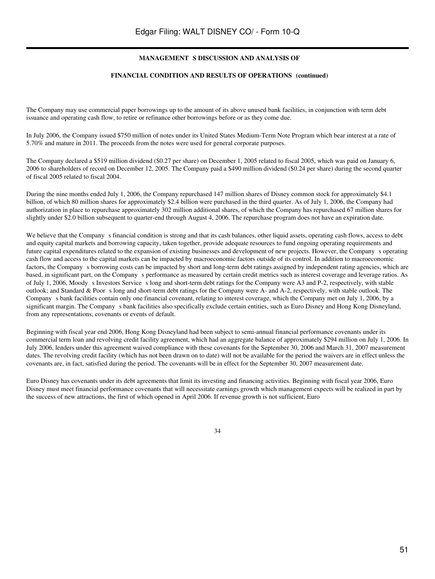#### FINANCIAL CONDITION AND RESULTS OF OPERATIONS (continued)

The Company may use commercial paper borrowings up to the amount of its above unused bank facilities, in conjunction with term debt issuance and operating cash flow, to retire or refinance other borrowings before or as they come due.

In July 2006, the Company issued \$750 million of notes under its United States Medium-Term Note Program which bear interest at a rate of 5.70% and mature in 2011. The proceeds from the notes were used for general corporate purposes.

The Company declared a \$519 million dividend (\$0.27 per share) on December 1, 2005 related to fiscal 2005, which was paid on January 6, 2006 to shareholders of record on December 12, 2005. The Company paid a \$490 million dividend (\$0.24 per share) during the second quarter of fiscal 2005 related to fiscal 2004.

During the nine months ended July 1, 2006, the Company repurchased 147 million shares of Disney common stock for approximately \$4.1 billion, of which 80 million shares for approximately \$2.4 billion were purchased in the third quarter. As of July 1, 2006, the Company had authorization in place to repurchase approximately 302 million additional shares, of which the Company has repurchased 67 million shares for slightly under \$2.0 billion subsequent to quarter-end through August 4, 2006. The repurchase program does not have an expiration date.

We believe that the Company s financial condition is strong and that its cash balances, other liquid assets, operating cash flows, access to debt and equity capital markets and borrowing capacity, taken together, provide adequate resources to fund ongoing operating requirements and future capital expenditures related to the expansion of existing businesses and development of new projects. However, the Companys operating cash flow and access to the capital markets can be impacted by macroeconomic factors outside of its control. In addition to macroeconomic factors, the Company s borrowing costs can be impacted by short and long-term debt ratings assigned by independent rating agencies, which are based, in significant part, on the Company s performance as measured by certain credit metrics such as interest coverage and leverage ratios. As of July 1, 2006, Moody s Investors Service s long and short-term debt ratings for the Company were A3 and P-2, respectively, with stable outlook; and Standard & Poors long and short-term debt ratings for the Company were A- and A-2, respectively, with stable outlook. The Company s bank facilities contain only one financial covenant, relating to interest coverage, which the Company met on July 1, 2006, by a significant margin. The Company s bank facilities also specifically exclude certain entities, such as Euro Disney and Hong Kong Disneyland, from any representations, covenants or events of default.

Beginning with fiscal year end 2006, Hong Kong Disneyland had been subject to semi-annual financial performance covenants under its commercial term loan and revolving credit facility agreement, which had an aggregate balance of approximately \$294 million on July 1, 2006. In July 2006, lenders under this agreement waived compliance with these covenants for the September 30, 2006 and March 31, 2007 measurement dates. The revolving credit facility (which has not been drawn on to date) will not be available for the period the waivers are in effect unless the covenants are, in fact, satisfied during the period. The covenants will be in effect for the September 30, 2007 measurement date.

Euro Disney has covenants under its debt agreements that limit its investing and financing activities. Beginning with fiscal year 2006, Euro Disney must meet financial performance covenants that will necessitate earnings growth which management expects will be realized in part by the success of new attractions, the first of which opened in April 2006. If revenue growth is not sufficient, Euro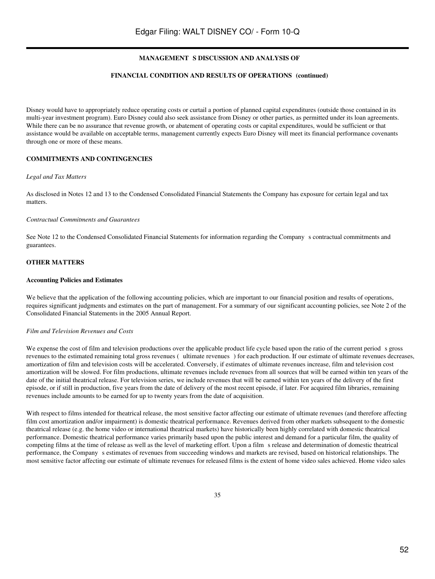## FINANCIAL CONDITION AND RESULTS OF OPERATIONS (continued)

Disney would have to appropriately reduce operating costs or curtail a portion of planned capital expenditures (outside those contained in its multi-year investment program). Euro Disney could also seek assistance from Disney or other parties, as permitted under its loan agreements. While there can be no assurance that revenue growth, or abatement of operating costs or capital expenditures, would be sufficient or that assistance would be available on acceptable terms, management currently expects Euro Disney will meet its financial performance covenants through one or more of these means.

#### **COMMITMENTS AND CONTINGENCIES**

#### *Legal and Tax Matters*

As disclosed in Notes 12 and 13 to the Condensed Consolidated Financial Statements the Company has exposure for certain legal and tax matters.

#### *Contractual Commitments and Guarantees*

See Note 12 to the Condensed Consolidated Financial Statements for information regarding the Companys contractual commitments and guarantees.

#### **OTHER MATTERS**

#### **Accounting Policies and Estimates**

We believe that the application of the following accounting policies, which are important to our financial position and results of operations, requires significant judgments and estimates on the part of management. For a summary of our significant accounting policies, see Note 2 of the Consolidated Financial Statements in the 2005 Annual Report.

#### *Film and Television Revenues and Costs*

We expense the cost of film and television productions over the applicable product life cycle based upon the ratio of the current period s gross revenues to the estimated remaining total gross revenues (ultimate revenues) for each production. If our estimate of ultimate revenues decreases, amortization of film and television costs will be accelerated. Conversely, if estimates of ultimate revenues increase, film and television cost amortization will be slowed. For film productions, ultimate revenues include revenues from all sources that will be earned within ten years of the date of the initial theatrical release. For television series, we include revenues that will be earned within ten years of the delivery of the first episode, or if still in production, five years from the date of delivery of the most recent episode, if later. For acquired film libraries, remaining revenues include amounts to be earned for up to twenty years from the date of acquisition.

With respect to films intended for theatrical release, the most sensitive factor affecting our estimate of ultimate revenues (and therefore affecting film cost amortization and/or impairment) is domestic theatrical performance. Revenues derived from other markets subsequent to the domestic theatrical release (e.g. the home video or international theatrical markets) have historically been highly correlated with domestic theatrical performance. Domestic theatrical performance varies primarily based upon the public interest and demand for a particular film, the quality of competing films at the time of release as well as the level of marketing effort. Upon a film s release and determination of domestic theatrical performance, the Companys estimates of revenues from succeeding windows and markets are revised, based on historical relationships. The most sensitive factor affecting our estimate of ultimate revenues for released films is the extent of home video sales achieved. Home video sales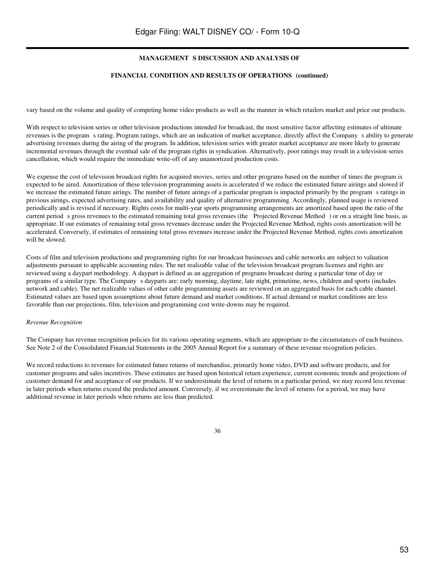## FINANCIAL CONDITION AND RESULTS OF OPERATIONS (continued)

vary based on the volume and quality of competing home video products as well as the manner in which retailers market and price our products.

With respect to television series or other television productions intended for broadcast, the most sensitive factor affecting estimates of ultimate revenues is the program s rating. Program ratings, which are an indication of market acceptance, directly affect the Company s ability to generate advertising revenues during the airing of the program. In addition, television series with greater market acceptance are more likely to generate incremental revenues through the eventual sale of the program rights in syndication. Alternatively, poor ratings may result in a television series cancellation, which would require the immediate write-off of any unamortized production costs.

We expense the cost of television broadcast rights for acquired movies, series and other programs based on the number of times the program is expected to be aired. Amortization of these television programming assets is accelerated if we reduce the estimated future airings and slowed if we increase the estimated future airings. The number of future airings of a particular program is impacted primarily by the programs ratings in previous airings, expected advertising rates, and availability and quality of alternative programming. Accordingly, planned usage is reviewed periodically and is revised if necessary. Rights costs for multi-year sports programming arrangements are amortized based upon the ratio of the current period s gross revenues to the estimated remaining total gross revenues (the Projected Revenue Method) or on a straight line basis, as appropriate. If our estimates of remaining total gross revenues decrease under the Projected Revenue Method, rights costs amortization will be accelerated. Conversely, if estimates of remaining total gross revenues increase under the Projected Revenue Method, rights costs amortization will be slowed.

Costs of film and television productions and programming rights for our broadcast businesses and cable networks are subject to valuation adjustments pursuant to applicable accounting rules. The net realizable value of the television broadcast program licenses and rights are reviewed using a daypart methodology. A daypart is defined as an aggregation of programs broadcast during a particular time of day or programs of a similar type. The Companys dayparts are: early morning, daytime, late night, primetime, news, children and sports (includes network and cable). The net realizable values of other cable programming assets are reviewed on an aggregated basis for each cable channel. Estimated values are based upon assumptions about future demand and market conditions. If actual demand or market conditions are less favorable than our projections, film, television and programming cost write-downs may be required.

#### *Revenue Recognition*

The Company has revenue recognition policies for its various operating segments, which are appropriate to the circumstances of each business. See Note 2 of the Consolidated Financial Statements in the 2005 Annual Report for a summary of these revenue recognition policies.

We record reductions to revenues for estimated future returns of merchandise, primarily home video, DVD and software products, and for customer programs and sales incentives. These estimates are based upon historical return experience, current economic trends and projections of customer demand for and acceptance of our products. If we underestimate the level of returns in a particular period, we may record less revenue in later periods when returns exceed the predicted amount. Conversely, if we overestimate the level of returns for a period, we may have additional revenue in later periods when returns are less than predicted.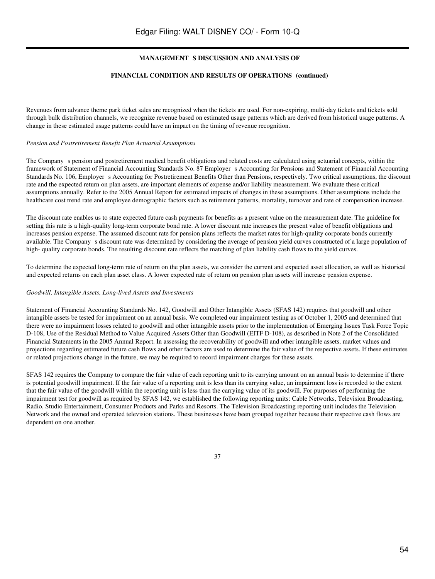#### FINANCIAL CONDITION AND RESULTS OF OPERATIONS (continued)

Revenues from advance theme park ticket sales are recognized when the tickets are used. For non-expiring, multi-day tickets and tickets sold through bulk distribution channels, we recognize revenue based on estimated usage patterns which are derived from historical usage patterns. A change in these estimated usage patterns could have an impact on the timing of revenue recognition.

#### *Pension and Postretirement Benefit Plan Actuarial Assumptions*

The Company s pension and postretirement medical benefit obligations and related costs are calculated using actuarial concepts, within the framework of Statement of Financial Accounting Standards No. 87 Employer s Accounting for Pensions and Statement of Financial Accounting Standards No. 106, Employer s Accounting for Postretirement Benefits Other than Pensions, respectively. Two critical assumptions, the discount rate and the expected return on plan assets, are important elements of expense and/or liability measurement. We evaluate these critical assumptions annually. Refer to the 2005 Annual Report for estimated impacts of changes in these assumptions. Other assumptions include the healthcare cost trend rate and employee demographic factors such as retirement patterns, mortality, turnover and rate of compensation increase.

The discount rate enables us to state expected future cash payments for benefits as a present value on the measurement date. The guideline for setting this rate is a high-quality long-term corporate bond rate. A lower discount rate increases the present value of benefit obligations and increases pension expense. The assumed discount rate for pension plans reflects the market rates for high-quality corporate bonds currently available. The Company s discount rate was determined by considering the average of pension yield curves constructed of a large population of high- quality corporate bonds. The resulting discount rate reflects the matching of plan liability cash flows to the yield curves.

To determine the expected long-term rate of return on the plan assets, we consider the current and expected asset allocation, as well as historical and expected returns on each plan asset class. A lower expected rate of return on pension plan assets will increase pension expense.

#### *Goodwill, Intangible Assets, Long-lived Assets and Investments*

Statement of Financial Accounting Standards No. 142, Goodwill and Other Intangible Assets (SFAS 142) requires that goodwill and other intangible assets be tested for impairment on an annual basis. We completed our impairment testing as of October 1, 2005 and determined that there were no impairment losses related to goodwill and other intangible assets prior to the implementation of Emerging Issues Task Force Topic D-108, Use of the Residual Method to Value Acquired Assets Other than Goodwill (EITF D-108), as described in Note 2 of the Consolidated Financial Statements in the 2005 Annual Report. In assessing the recoverability of goodwill and other intangible assets, market values and projections regarding estimated future cash flows and other factors are used to determine the fair value of the respective assets. If these estimates or related projections change in the future, we may be required to record impairment charges for these assets.

SFAS 142 requires the Company to compare the fair value of each reporting unit to its carrying amount on an annual basis to determine if there is potential goodwill impairment. If the fair value of a reporting unit is less than its carrying value, an impairment loss is recorded to the extent that the fair value of the goodwill within the reporting unit is less than the carrying value of its goodwill. For purposes of performing the impairment test for goodwill as required by SFAS 142, we established the following reporting units: Cable Networks, Television Broadcasting, Radio, Studio Entertainment, Consumer Products and Parks and Resorts. The Television Broadcasting reporting unit includes the Television Network and the owned and operated television stations. These businesses have been grouped together because their respective cash flows are dependent on one another.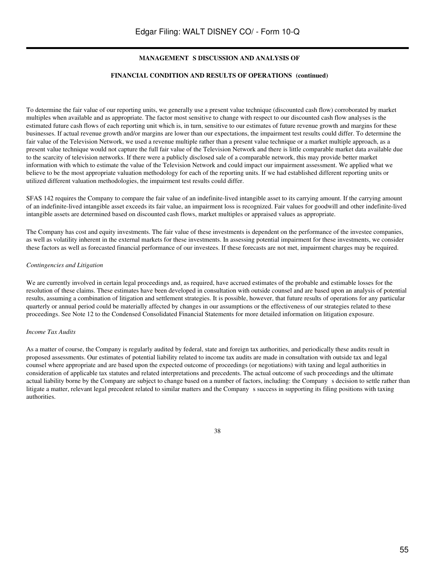## FINANCIAL CONDITION AND RESULTS OF OPERATIONS (continued)

To determine the fair value of our reporting units, we generally use a present value technique (discounted cash flow) corroborated by market multiples when available and as appropriate. The factor most sensitive to change with respect to our discounted cash flow analyses is the estimated future cash flows of each reporting unit which is, in turn, sensitive to our estimates of future revenue growth and margins for these businesses. If actual revenue growth and/or margins are lower than our expectations, the impairment test results could differ. To determine the fair value of the Television Network, we used a revenue multiple rather than a present value technique or a market multiple approach, as a present value technique would not capture the full fair value of the Television Network and there is little comparable market data available due to the scarcity of television networks. If there were a publicly disclosed sale of a comparable network, this may provide better market information with which to estimate the value of the Television Network and could impact our impairment assessment. We applied what we believe to be the most appropriate valuation methodology for each of the reporting units. If we had established different reporting units or utilized different valuation methodologies, the impairment test results could differ.

SFAS 142 requires the Company to compare the fair value of an indefinite-lived intangible asset to its carrying amount. If the carrying amount of an indefinite-lived intangible asset exceeds its fair value, an impairment loss is recognized. Fair values for goodwill and other indefinite-lived intangible assets are determined based on discounted cash flows, market multiples or appraised values as appropriate.

The Company has cost and equity investments. The fair value of these investments is dependent on the performance of the investee companies, as well as volatility inherent in the external markets for these investments. In assessing potential impairment for these investments, we consider these factors as well as forecasted financial performance of our investees. If these forecasts are not met, impairment charges may be required.

#### *Contingencies and Litigation*

We are currently involved in certain legal proceedings and, as required, have accrued estimates of the probable and estimable losses for the resolution of these claims. These estimates have been developed in consultation with outside counsel and are based upon an analysis of potential results, assuming a combination of litigation and settlement strategies. It is possible, however, that future results of operations for any particular quarterly or annual period could be materially affected by changes in our assumptions or the effectiveness of our strategies related to these proceedings. See Note 12 to the Condensed Consolidated Financial Statements for more detailed information on litigation exposure.

#### *Income Tax Audits*

As a matter of course, the Company is regularly audited by federal, state and foreign tax authorities, and periodically these audits result in proposed assessments. Our estimates of potential liability related to income tax audits are made in consultation with outside tax and legal counsel where appropriate and are based upon the expected outcome of proceedings (or negotiations) with taxing and legal authorities in consideration of applicable tax statutes and related interpretations and precedents. The actual outcome of such proceedings and the ultimate actual liability borne by the Company are subject to change based on a number of factors, including: the Company s decision to settle rather than litigate a matter, relevant legal precedent related to similar matters and the Company success in supporting its filing positions with taxing authorities.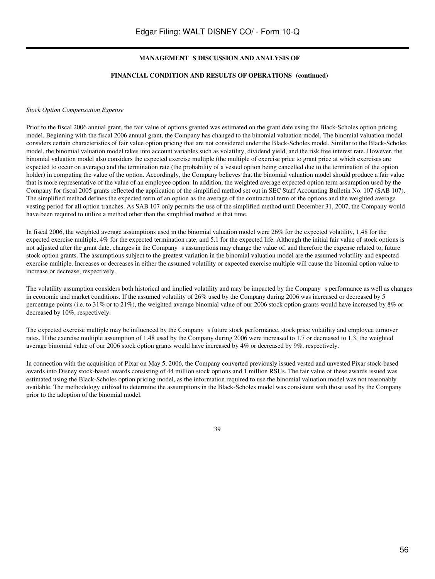## FINANCIAL CONDITION AND RESULTS OF OPERATIONS (continued)

#### *Stock Option Compensation Expense*

Prior to the fiscal 2006 annual grant, the fair value of options granted was estimated on the grant date using the Black-Scholes option pricing model. Beginning with the fiscal 2006 annual grant, the Company has changed to the binomial valuation model. The binomial valuation model considers certain characteristics of fair value option pricing that are not considered under the Black-Scholes model. Similar to the Black-Scholes model, the binomial valuation model takes into account variables such as volatility, dividend yield, and the risk free interest rate. However, the binomial valuation model also considers the expected exercise multiple (the multiple of exercise price to grant price at which exercises are expected to occur on average) and the termination rate (the probability of a vested option being cancelled due to the termination of the option holder) in computing the value of the option. Accordingly, the Company believes that the binomial valuation model should produce a fair value that is more representative of the value of an employee option. In addition, the weighted average expected option term assumption used by the Company for fiscal 2005 grants reflected the application of the simplified method set out in SEC Staff Accounting Bulletin No. 107 (SAB 107). The simplified method defines the expected term of an option as the average of the contractual term of the options and the weighted average vesting period for all option tranches. As SAB 107 only permits the use of the simplified method until December 31, 2007, the Company would have been required to utilize a method other than the simplified method at that time.

In fiscal 2006, the weighted average assumptions used in the binomial valuation model were 26% for the expected volatility, 1.48 for the expected exercise multiple, 4% for the expected termination rate, and 5.1 for the expected life. Although the initial fair value of stock options is not adjusted after the grant date, changes in the Company s assumptions may change the value of, and therefore the expense related to, future stock option grants. The assumptions subject to the greatest variation in the binomial valuation model are the assumed volatility and expected exercise multiple. Increases or decreases in either the assumed volatility or expected exercise multiple will cause the binomial option value to increase or decrease, respectively.

The volatility assumption considers both historical and implied volatility and may be impacted by the Company s performance as well as changes in economic and market conditions. If the assumed volatility of 26% used by the Company during 2006 was increased or decreased by 5 percentage points (i.e. to 31% or to 21%), the weighted average binomial value of our 2006 stock option grants would have increased by 8% or decreased by 10%, respectively.

The expected exercise multiple may be influenced by the Company s future stock performance, stock price volatility and employee turnover rates. If the exercise multiple assumption of 1.48 used by the Company during 2006 were increased to 1.7 or decreased to 1.3, the weighted average binomial value of our 2006 stock option grants would have increased by 4% or decreased by 9%, respectively.

In connection with the acquisition of Pixar on May 5, 2006, the Company converted previously issued vested and unvested Pixar stock-based awards into Disney stock-based awards consisting of 44 million stock options and 1 million RSUs. The fair value of these awards issued was estimated using the Black-Scholes option pricing model, as the information required to use the binomial valuation model was not reasonably available. The methodology utilized to determine the assumptions in the Black-Scholes model was consistent with those used by the Company prior to the adoption of the binomial model.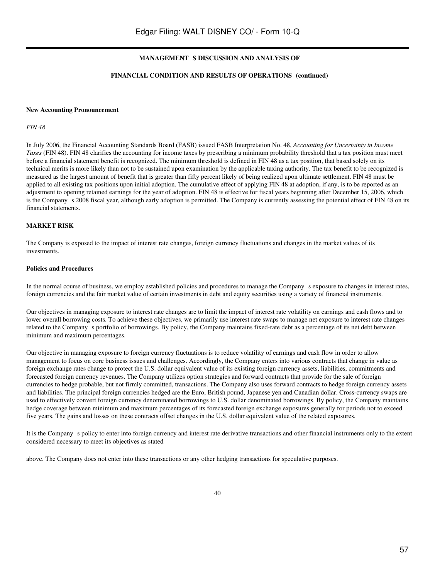## FINANCIAL CONDITION AND RESULTS OF OPERATIONS (continued)

#### **New Accounting Pronouncement**

*FIN 48*

In July 2006, the Financial Accounting Standards Board (FASB) issued FASB Interpretation No. 48, *Accounting for Uncertainty in Income Taxes* (FIN 48). FIN 48 clarifies the accounting for income taxes by prescribing a minimum probability threshold that a tax position must meet before a financial statement benefit is recognized. The minimum threshold is defined in FIN 48 as a tax position, that based solely on its technical merits is more likely than not to be sustained upon examination by the applicable taxing authority. The tax benefit to be recognized is measured as the largest amount of benefit that is greater than fifty percent likely of being realized upon ultimate settlement. FIN 48 must be applied to all existing tax positions upon initial adoption. The cumulative effect of applying FIN 48 at adoption, if any, is to be reported as an adjustment to opening retained earnings for the year of adoption. FIN 48 is effective for fiscal years beginning after December 15, 2006, which is the Company s 2008 fiscal year, although early adoption is permitted. The Company is currently assessing the potential effect of FIN 48 on its financial statements.

#### **MARKET RISK**

The Company is exposed to the impact of interest rate changes, foreign currency fluctuations and changes in the market values of its investments.

#### **Policies and Procedures**

In the normal course of business, we employ established policies and procedures to manage the Companys exposure to changes in interest rates, foreign currencies and the fair market value of certain investments in debt and equity securities using a variety of financial instruments.

Our objectives in managing exposure to interest rate changes are to limit the impact of interest rate volatility on earnings and cash flows and to lower overall borrowing costs. To achieve these objectives, we primarily use interest rate swaps to manage net exposure to interest rate changes related to the Company s portfolio of borrowings. By policy, the Company maintains fixed-rate debt as a percentage of its net debt between minimum and maximum percentages.

Our objective in managing exposure to foreign currency fluctuations is to reduce volatility of earnings and cash flow in order to allow management to focus on core business issues and challenges. Accordingly, the Company enters into various contracts that change in value as foreign exchange rates change to protect the U.S. dollar equivalent value of its existing foreign currency assets, liabilities, commitments and forecasted foreign currency revenues. The Company utilizes option strategies and forward contracts that provide for the sale of foreign currencies to hedge probable, but not firmly committed, transactions. The Company also uses forward contracts to hedge foreign currency assets and liabilities. The principal foreign currencies hedged are the Euro, British pound, Japanese yen and Canadian dollar. Cross-currency swaps are used to effectively convert foreign currency denominated borrowings to U.S. dollar denominated borrowings. By policy, the Company maintains hedge coverage between minimum and maximum percentages of its forecasted foreign exchange exposures generally for periods not to exceed five years. The gains and losses on these contracts offset changes in the U.S. dollar equivalent value of the related exposures.

It is the Companys policy to enter into foreign currency and interest rate derivative transactions and other financial instruments only to the extent considered necessary to meet its objectives as stated

above. The Company does not enter into these transactions or any other hedging transactions for speculative purposes.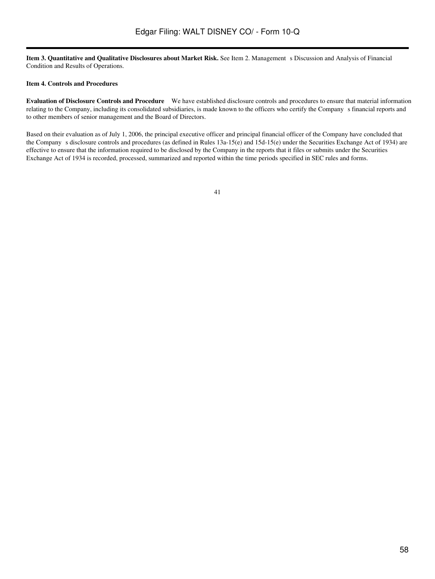**Item 3. Quantitative and Qualitative Disclosures about Market Risk.** See Item 2. Management s Discussion and Analysis of Financial Condition and Results of Operations.

#### **Item 4. Controls and Procedures**

**Evaluation of Disclosure Controls and Procedure** We have established disclosure controls and procedures to ensure that material information relating to the Company, including its consolidated subsidiaries, is made known to the officers who certify the Companys financial reports and to other members of senior management and the Board of Directors.

Based on their evaluation as of July 1, 2006, the principal executive officer and principal financial officer of the Company have concluded that the Company s disclosure controls and procedures (as defined in Rules 13a-15(e) and 15d-15(e) under the Securities Exchange Act of 1934) are effective to ensure that the information required to be disclosed by the Company in the reports that it files or submits under the Securities Exchange Act of 1934 is recorded, processed, summarized and reported within the time periods specified in SEC rules and forms.

```
41
```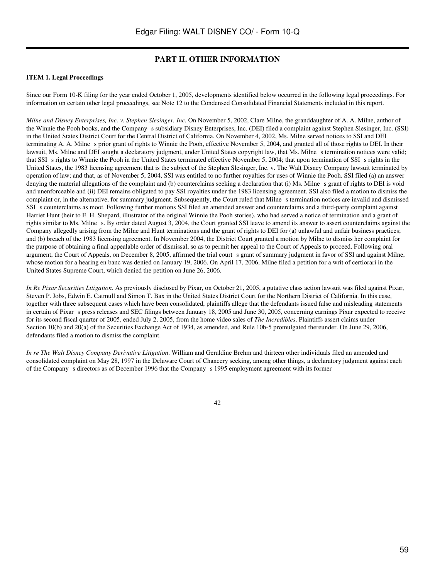# **PART II. OTHER INFORMATION**

## **ITEM 1. Legal Proceedings**

Since our Form 10-K filing for the year ended October 1, 2005, developments identified below occurred in the following legal proceedings. For information on certain other legal proceedings, see Note 12 to the Condensed Consolidated Financial Statements included in this report.

*Milne and Disney Enterprises, Inc. v. Stephen Slesinger, Inc.* On November 5, 2002, Clare Milne, the granddaughter of A. A. Milne, author of the Winnie the Pooh books, and the Company s subsidiary Disney Enterprises, Inc. (DEI) filed a complaint against Stephen Slesinger, Inc. (SSI) in the United States District Court for the Central District of California. On November 4, 2002, Ms. Milne served notices to SSI and DEI terminating A. A. Milnes prior grant of rights to Winnie the Pooh, effective November 5, 2004, and granted all of those rights to DEI. In their lawsuit, Ms. Milne and DEI sought a declaratory judgment, under United States copyright law, that Ms. Milne s termination notices were valid; that SSI s rights to Winnie the Pooh in the United States terminated effective November 5, 2004; that upon termination of SSI s rights in the United States, the 1983 licensing agreement that is the subject of the Stephen Slesinger, Inc. v. The Walt Disney Company lawsuit terminated by operation of law; and that, as of November 5, 2004, SSI was entitled to no further royalties for uses of Winnie the Pooh. SSI filed (a) an answer denying the material allegations of the complaint and (b) counterclaims seeking a declaration that (i) Ms. Milne s grant of rights to DEI is void and unenforceable and (ii) DEI remains obligated to pay SSI royalties under the 1983 licensing agreement. SSI also filed a motion to dismiss the complaint or, in the alternative, for summary judgment. Subsequently, the Court ruled that Milne s termination notices are invalid and dismissed SSI s counterclaims as moot. Following further motions SSI filed an amended answer and counterclaims and a third-party complaint against Harriet Hunt (heir to E. H. Shepard, illustrator of the original Winnie the Pooh stories), who had served a notice of termination and a grant of rights similar to Ms. Milne s. By order dated August 3, 2004, the Court granted SSI leave to amend its answer to assert counterclaims against the Company allegedly arising from the Milne and Hunt terminations and the grant of rights to DEI for (a) unlawful and unfair business practices; and (b) breach of the 1983 licensing agreement. In November 2004, the District Court granted a motion by Milne to dismiss her complaint for the purpose of obtaining a final appealable order of dismissal, so as to permit her appeal to the Court of Appeals to proceed. Following oral argument, the Court of Appeals, on December 8, 2005, affirmed the trial court s grant of summary judgment in favor of SSI and against Milne, whose motion for a hearing en banc was denied on January 19, 2006. On April 17, 2006, Milne filed a petition for a writ of certiorari in the United States Supreme Court, which denied the petition on June 26, 2006.

*In Re Pixar Securities Litigation*. As previously disclosed by Pixar, on October 21, 2005, a putative class action lawsuit was filed against Pixar, Steven P. Jobs, Edwin E. Catmull and Simon T. Bax in the United States District Court for the Northern District of California. In this case, together with three subsequent cases which have been consolidated, plaintiffs allege that the defendants issued false and misleading statements in certain of Pixar s press releases and SEC filings between January 18, 2005 and June 30, 2005, concerning earnings Pixar expected to receive for its second fiscal quarter of 2005, ended July 2, 2005, from the home video sales of *The Incredibles*. Plaintiffs assert claims under Section 10(b) and 20(a) of the Securities Exchange Act of 1934, as amended, and Rule 10b-5 promulgated thereunder. On June 29, 2006, defendants filed a motion to dismiss the complaint.

*In re The Walt Disney Company Derivative Litigation*. William and Geraldine Brehm and thirteen other individuals filed an amended and consolidated complaint on May 28, 1997 in the Delaware Court of Chancery seeking, among other things, a declaratory judgment against each of the Companys directors as of December 1996 that the Companys 1995 employment agreement with its former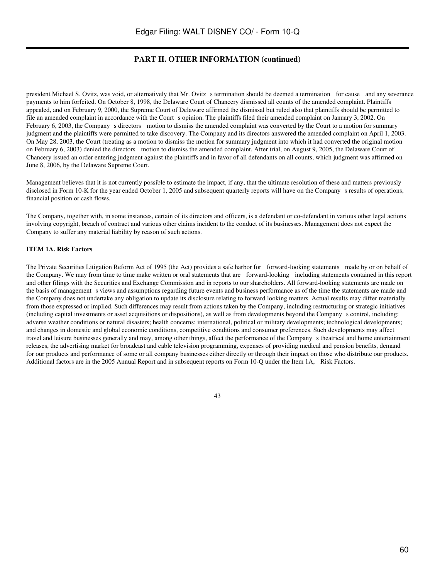# **PART II. OTHER INFORMATION (continued)**

president Michael S. Ovitz, was void, or alternatively that Mr. Ovitz s termination should be deemed a termination for cause and any severance payments to him forfeited. On October 8, 1998, the Delaware Court of Chancery dismissed all counts of the amended complaint. Plaintiffs appealed, and on February 9, 2000, the Supreme Court of Delaware affirmed the dismissal but ruled also that plaintiffs should be permitted to file an amended complaint in accordance with the Court s opinion. The plaintiffs filed their amended complaint on January 3, 2002. On February 6, 2003, the Company s directors motion to dismiss the amended complaint was converted by the Court to a motion for summary judgment and the plaintiffs were permitted to take discovery. The Company and its directors answered the amended complaint on April 1, 2003. On May 28, 2003, the Court (treating as a motion to dismiss the motion for summary judgment into which it had converted the original motion on February 6, 2003) denied the directors motion to dismiss the amended complaint. After trial, on August 9, 2005, the Delaware Court of Chancery issued an order entering judgment against the plaintiffs and in favor of all defendants on all counts, which judgment was affirmed on June 8, 2006, by the Delaware Supreme Court.

Management believes that it is not currently possible to estimate the impact, if any, that the ultimate resolution of these and matters previously disclosed in Form 10-K for the year ended October 1, 2005 and subsequent quarterly reports will have on the Company s results of operations, financial position or cash flows.

The Company, together with, in some instances, certain of its directors and officers, is a defendant or co-defendant in various other legal actions involving copyright, breach of contract and various other claims incident to the conduct of its businesses. Management does not expect the Company to suffer any material liability by reason of such actions.

#### **ITEM 1A. Risk Factors**

The Private Securities Litigation Reform Act of 1995 (the Act) provides a safe harbor for forward-looking statements made by or on behalf of the Company. We may from time to time make written or oral statements that are forward-looking including statements contained in this report and other filings with the Securities and Exchange Commission and in reports to our shareholders. All forward-looking statements are made on the basis of management s views and assumptions regarding future events and business performance as of the time the statements are made and the Company does not undertake any obligation to update its disclosure relating to forward looking matters. Actual results may differ materially from those expressed or implied. Such differences may result from actions taken by the Company, including restructuring or strategic initiatives (including capital investments or asset acquisitions or dispositions), as well as from developments beyond the Companys control, including: adverse weather conditions or natural disasters; health concerns; international, political or military developments; technological developments; and changes in domestic and global economic conditions, competitive conditions and consumer preferences. Such developments may affect travel and leisure businesses generally and may, among other things, affect the performance of the Companys theatrical and home entertainment releases, the advertising market for broadcast and cable television programming, expenses of providing medical and pension benefits, demand for our products and performance of some or all company businesses either directly or through their impact on those who distribute our products. Additional factors are in the 2005 Annual Report and in subsequent reports on Form 10-Q under the Item 1A, Risk Factors.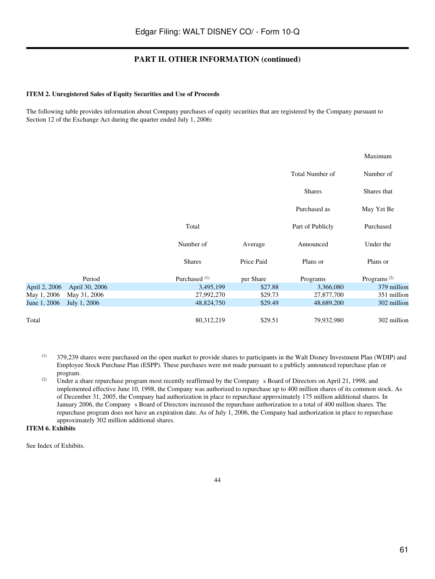# **PART II. OTHER INFORMATION (continued)**

#### **ITEM 2. Unregistered Sales of Equity Securities and Use of Proceeds**

The following table provides information about Company purchases of equity securities that are registered by the Company pursuant to Section 12 of the Exchange Act during the quarter ended July 1, 2006**:**

|               |                |                          |            |                  | Maximum                 |
|---------------|----------------|--------------------------|------------|------------------|-------------------------|
|               |                |                          |            | Total Number of  | Number of               |
|               |                |                          |            | <b>Shares</b>    | Shares that             |
|               |                |                          |            | Purchased as     | May Yet Be              |
|               |                | Total                    |            | Part of Publicly | Purchased               |
|               |                | Number of                | Average    | Announced        | Under the               |
|               |                | <b>Shares</b>            | Price Paid | Plans or         | Plans or                |
|               | Period         | Purchased <sup>(1)</sup> | per Share  | Programs         | Programs <sup>(2)</sup> |
| April 2, 2006 | April 30, 2006 | 3,495,199                | \$27.88    | 3,366,080        | 379 million             |
| May 1, 2006   | May 31, 2006   | 27,992,270               | \$29.73    | 27,877,700       | 351 million             |
| June 1, 2006  | July 1, 2006   | 48,824,750               | \$29.49    | 48,689,200       | 302 million             |
| Total         |                | 80,312,219               | \$29.51    | 79,932,980       | 302 million             |

- (1) 379,239 shares were purchased on the open market to provide shares to participants in the Walt Disney Investment Plan (WDIP) and Employee Stock Purchase Plan (ESPP). These purchases were not made pursuant to a publicly announced repurchase plan or program.
- <sup>(2)</sup> Under a share repurchase program most recently reaffirmed by the Company s Board of Directors on April 21, 1998, and implemented effective June 10, 1998, the Company was authorized to repurchase up to 400 million shares of its common stock. As of December 31, 2005, the Company had authorization in place to repurchase approximately 175 million additional shares. In January 2006, the Companys Board of Directors increased the repurchase authorization to a total of 400 million shares. The repurchase program does not have an expiration date. As of July 1, 2006, the Company had authorization in place to repurchase approximately 302 million additional shares.

# **ITEM 6. Exhibits**

See Index of Exhibits.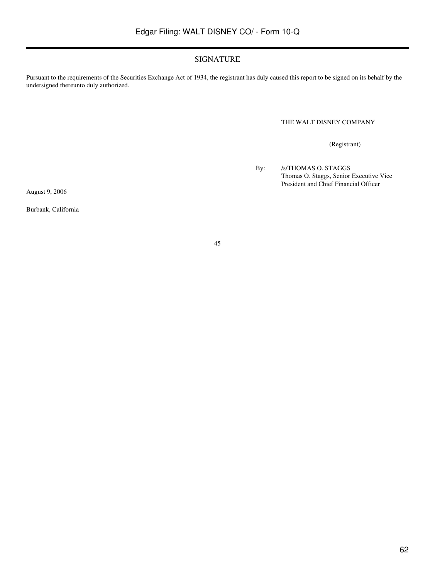# SIGNATURE

Pursuant to the requirements of the Securities Exchange Act of 1934, the registrant has duly caused this report to be signed on its behalf by the undersigned thereunto duly authorized.

THE WALT DISNEY COMPANY

(Registrant)

By: /s/THOMAS O. STAGGS Thomas O. Staggs, Senior Executive Vice President and Chief Financial Officer

August 9, 2006

Burbank, California